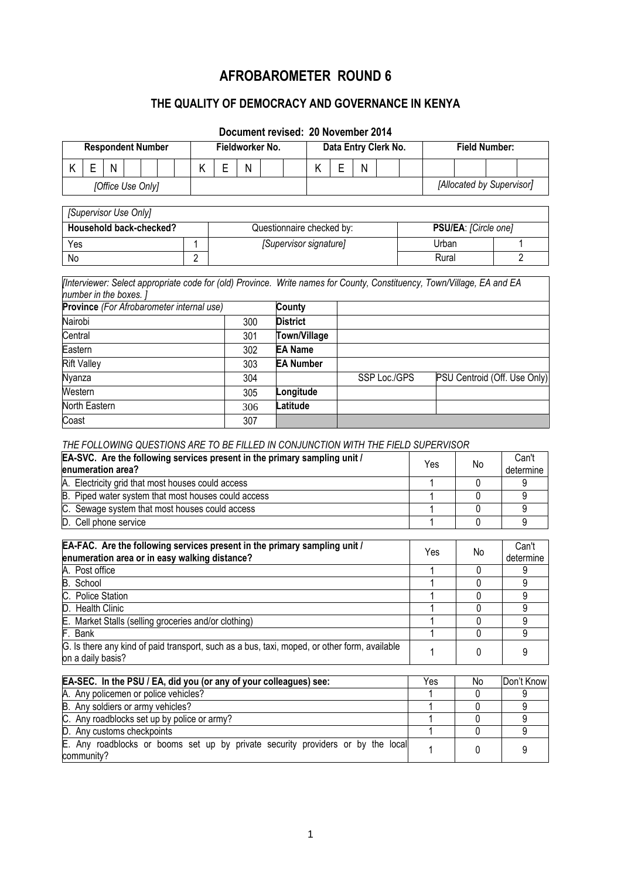# **AFROBAROMETER ROUND 6**

## **THE QUALITY OF DEMOCRACY AND GOVERNANCE IN KENYA**

## **Document revised: 20 November 2014**

| <b>Respondent Number</b> |  |   | Fieldworker No. |  |  | Data Entry Clerk No. |  |  |   | <b>Field Number:</b> |  |  |   |                           |  |  |  |  |  |
|--------------------------|--|---|-----------------|--|--|----------------------|--|--|---|----------------------|--|--|---|---------------------------|--|--|--|--|--|
|                          |  | N |                 |  |  |                      |  |  | N |                      |  |  | N |                           |  |  |  |  |  |
| [Office Use Only]        |  |   |                 |  |  |                      |  |  |   |                      |  |  |   | [Allocated by Supervisor] |  |  |  |  |  |

| [Supervisor Use Only]   |  |                           |                      |  |  |  |
|-------------------------|--|---------------------------|----------------------|--|--|--|
| Household back-checked? |  | Questionnaire checked by: | PSU/EA: [Circle one] |  |  |  |
| Yes                     |  | [Supervisor signature]    | Urban                |  |  |  |
| No                      |  |                           | Rural                |  |  |  |

*[Interviewer: Select appropriate code for (old) Province. Write names for County, Constituency, Town/Village, EA and EA number in the boxes. ]*

| <b>Province</b> (For Afrobarometer internal use) |     | <b>County</b>       |              |                              |
|--------------------------------------------------|-----|---------------------|--------------|------------------------------|
| Nairobi                                          | 300 | <b>District</b>     |              |                              |
| Central                                          | 301 | <b>Town/Village</b> |              |                              |
| Eastern                                          | 302 | <b>EA Name</b>      |              |                              |
| <b>Rift Valley</b>                               | 303 | <b>EA Number</b>    |              |                              |
| Nyanza                                           | 304 |                     | SSP Loc./GPS | PSU Centroid (Off. Use Only) |
| Western                                          | 305 | Longitude           |              |                              |
| North Eastern                                    | 306 | Latitude            |              |                              |
| Coast                                            | 307 |                     |              |                              |

## *THE FOLLOWING QUESTIONS ARE TO BE FILLED IN CONJUNCTION WITH THE FIELD SUPERVISOR*

| EA-SVC. Are the following services present in the primary sampling unit /<br>enumeration area? | Yes | No | Can't<br>determine |
|------------------------------------------------------------------------------------------------|-----|----|--------------------|
| A. Electricity grid that most houses could access                                              |     |    |                    |
| B. Piped water system that most houses could access                                            |     |    |                    |
| C. Sewage system that most houses could access                                                 |     |    |                    |
| D. Cell phone service                                                                          |     |    |                    |

| EA-FAC. Are the following services present in the primary sampling unit /<br>enumeration area or in easy walking distance? | Yes | No | Can't<br>determine |
|----------------------------------------------------------------------------------------------------------------------------|-----|----|--------------------|
| A. Post office                                                                                                             |     |    |                    |
| B. School                                                                                                                  |     |    |                    |
| C. Police Station                                                                                                          |     |    |                    |
| D. Health Clinic                                                                                                           |     |    |                    |
| E. Market Stalls (selling groceries and/or clothing)                                                                       |     |    |                    |
| F. Bank                                                                                                                    |     |    |                    |
| G. Is there any kind of paid transport, such as a bus, taxi, moped, or other form, available<br>on a daily basis?          |     |    |                    |

| EA-SEC. In the PSU / EA, did you (or any of your colleagues) see:                             | Yes | No | Don't Know |
|-----------------------------------------------------------------------------------------------|-----|----|------------|
| A. Any policemen or police vehicles?                                                          |     |    |            |
| B. Any soldiers or army vehicles?                                                             |     |    |            |
| C. Any roadblocks set up by police or army?                                                   |     |    |            |
| D. Any customs checkpoints                                                                    |     |    |            |
| E. Any roadblocks or booms set up by private security providers or by the local<br>community? |     |    |            |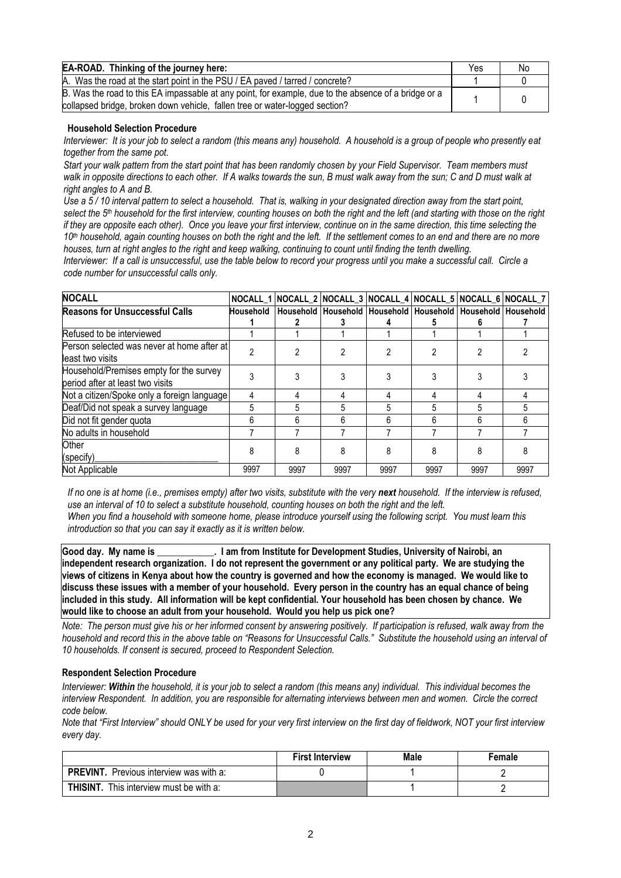| EA-ROAD. Thinking of the journey here:                                                                                                                                              | Yes | No |
|-------------------------------------------------------------------------------------------------------------------------------------------------------------------------------------|-----|----|
| A. Was the road at the start point in the PSU / EA paved / tarred / concrete?                                                                                                       |     |    |
| B. Was the road to this EA impassable at any point, for example, due to the absence of a bridge or a<br>collapsed bridge, broken down vehicle, fallen tree or water-logged section? |     |    |

#### **Household Selection Procedure**

*Interviewer: It is your job to select a random (this means any) household. A household is a group of people who presently eat together from the same pot.*

*Start your walk pattern from the start point that has been randomly chosen by your Field Supervisor. Team members must walk in opposite directions to each other. If A walks towards the sun, B must walk away from the sun; C and D must walk at right angles to A and B.*

*Use a 5 / 10 interval pattern to select a household. That is, walking in your designated direction away from the start point, select the 5th household for the first interview, counting houses on both the right and the left (and starting with those on the right if they are opposite each other). Once you leave your first interview, continue on in the same direction, this time selecting the 10th household, again counting houses on both the right and the left. If the settlement comes to an end and there are no more houses, turn at right angles to the right and keep walking, continuing to count until finding the tenth dwelling.*

*Interviewer: If a call is unsuccessful, use the table below to record your progress until you make a successful call. Circle a code number for unsuccessful calls only.*

| <b>NOCALL</b>                               |      |      |      |      |      |      | NOCALL_1 NOCALL_2 NOCALL_3 NOCALL_4 NOCALL_5 NOCALL_6 NOCALL_7                    |
|---------------------------------------------|------|------|------|------|------|------|-----------------------------------------------------------------------------------|
| <b>Reasons for Unsuccessful Calls</b>       |      |      |      |      |      |      | Household   Household   Household   Household   Household   Household   Household |
|                                             |      |      |      |      |      |      |                                                                                   |
| Refused to be interviewed                   |      |      |      |      |      |      |                                                                                   |
| Person selected was never at home after at  |      |      |      |      |      |      |                                                                                   |
| least two visits                            |      |      |      |      |      |      |                                                                                   |
| Household/Premises empty for the survey     |      |      |      |      |      |      |                                                                                   |
| period after at least two visits            |      |      |      |      |      |      |                                                                                   |
| Not a citizen/Spoke only a foreign language | 4    |      |      |      |      |      |                                                                                   |
| Deaf/Did not speak a survey language        | 5    | 5    | 5    | 5    | 5    | 5    |                                                                                   |
| Did not fit gender quota                    | 6    | 6    | 6    | 6    | 6    | 6    |                                                                                   |
| No adults in household                      |      |      |      |      |      |      |                                                                                   |
| Other                                       |      | 8    | 8    | 8    | 8    | 8    |                                                                                   |
| (specify)                                   |      |      |      |      |      |      |                                                                                   |
| Not Applicable                              | 9997 | 9997 | 9997 | 9997 | 9997 | 9997 | 9997                                                                              |

*If no one is at home (i.e., premises empty) after two visits, substitute with the very next household. If the interview is refused, use an interval of 10 to select a substitute household, counting houses on both the right and the left. When you find a household with someone home, please introduce yourself using the following script. You must learn this introduction so that you can say it exactly as it is written below.*

**Good day. My name is \_\_\_\_\_\_\_\_\_\_\_\_. I am from Institute for Development Studies, University of Nairobi, an independent research organization. I do not represent the government or any political party. We are studying the views of citizens in Kenya about how the country is governed and how the economy is managed. We would like to discuss these issues with a member of your household. Every person in the country has an equal chance of being included in this study. All information will be kept confidential. Your household has been chosen by chance. We would like to choose an adult from your household. Would you help us pick one?**

*Note: The person must give his or her informed consent by answering positively. If participation is refused, walk away from the household and record this in the above table on "Reasons for Unsuccessful Calls." Substitute the household using an interval of 10 households. If consent is secured, proceed to Respondent Selection.*

#### **Respondent Selection Procedure**

*Interviewer: Within the household, it is your job to select a random (this means any) individual. This individual becomes the interview Respondent. In addition, you are responsible for alternating interviews between men and women. Circle the correct code below.* 

*Note that "First Interview" should ONLY be used for your very first interview on the first day of fieldwork, NOT your first interview every day.*

|                                                   | <b>First Interview</b> | Male | Female |
|---------------------------------------------------|------------------------|------|--------|
| <b>PREVINT.</b> Previous interview was with a:    |                        |      |        |
| <b>THISINT.</b><br>This interview must be with a: |                        |      |        |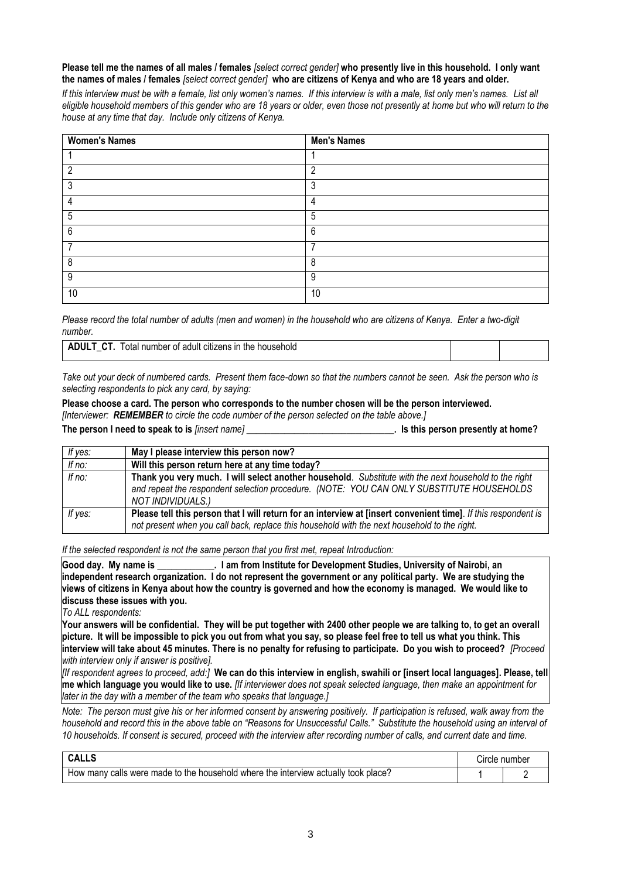#### **Please tell me the names of all males / females** *[select correct gender]* **who presently live in this household. I only want the names of males / females** *[select correct gender]* **who are citizens of Kenya and who are 18 years and older.**

*If this interview must be with a female, list only women's names. If this interview is with a male, list only men's names. List all eligible household members of this gender who are 18 years or older, even those not presently at home but who will return to the house at any time that day. Include only citizens of Kenya.*

| <b>Women's Names</b> | <b>Men's Names</b> |
|----------------------|--------------------|
|                      |                    |
| റ                    | C                  |
| າ                    | 3                  |
|                      | 4                  |
| 5                    | 5                  |
| 6                    | 6                  |
|                      |                    |
| 8                    | 8                  |
| 9                    | 9                  |
| 10                   | 10                 |

*Please record the total number of adults (men and women) in the household who are citizens of Kenya. Enter a two-digit number.*

| ∶adult citizens in<br>number<br>household<br>the<br>ota<br>0t<br>.<br>$-$ |  |  |
|---------------------------------------------------------------------------|--|--|
|---------------------------------------------------------------------------|--|--|

*Take out your deck of numbered cards. Present them face-down so that the numbers cannot be seen. Ask the person who is selecting respondents to pick any card, by saying:*

**Please choose a card. The person who corresponds to the number chosen will be the person interviewed.** 

*[Interviewer: REMEMBER to circle the code number of the person selected on the table above.]*

**The person I need to speak to is** *[insert name]* **\_\_\_\_\_\_\_\_\_\_\_\_\_\_\_\_\_\_\_\_\_\_\_\_\_\_\_\_\_\_\_. Is this person presently at home?**

| If yes:  | May I please interview this person now?                                                                                                                                                                                |
|----------|------------------------------------------------------------------------------------------------------------------------------------------------------------------------------------------------------------------------|
| If no:   | Will this person return here at any time today?                                                                                                                                                                        |
| If $no:$ | Thank you very much. I will select another household. Substitute with the next household to the right<br>and repeat the respondent selection procedure. (NOTE: YOU CAN ONLY SUBSTITUTE HOUSEHOLDS<br>NOT INDIVIDUALS.) |
| If yes:  | Please tell this person that I will return for an interview at [insert convenient time]. If this respondent is<br>not present when you call back, replace this household with the next household to the right.         |

*If the selected respondent is not the same person that you first met, repeat Introduction:*

**Good day. My name is \_\_\_\_\_\_\_\_\_\_\_\_. I am from Institute for Development Studies, University of Nairobi, an independent research organization. I do not represent the government or any political party. We are studying the views of citizens in Kenya about how the country is governed and how the economy is managed. We would like to discuss these issues with you.**

*To ALL respondents:*

**Your answers will be confidential. They will be put together with 2400 other people we are talking to, to get an overall picture. It will be impossible to pick you out from what you say, so please feel free to tell us what you think. This interview will take about 45 minutes. There is no penalty for refusing to participate. Do you wish to proceed?** *[Proceed with interview only if answer is positive].*

*[If respondent agrees to proceed, add:]* **We can do this interview in english, swahili or [insert local languages]. Please, tell me which language you would like to use.** *[If interviewer does not speak selected language, then make an appointment for later in the day with a member of the team who speaks that language.]*

*Note: The person must give his or her informed consent by answering positively. If participation is refused, walk away from the household and record this in the above table on "Reasons for Unsuccessful Calls." Substitute the household using an interval of 10 households. If consent is secured, proceed with the interview after recording number of calls, and current date and time.*

| UALLO                                                                                                                    | rcle numberٽ |
|--------------------------------------------------------------------------------------------------------------------------|--------------|
| actually<br>calls<br>made to<br>, household<br>I where the interview_<br>the.<br>were<br>place's<br>∶took<br>many<br>HOW |              |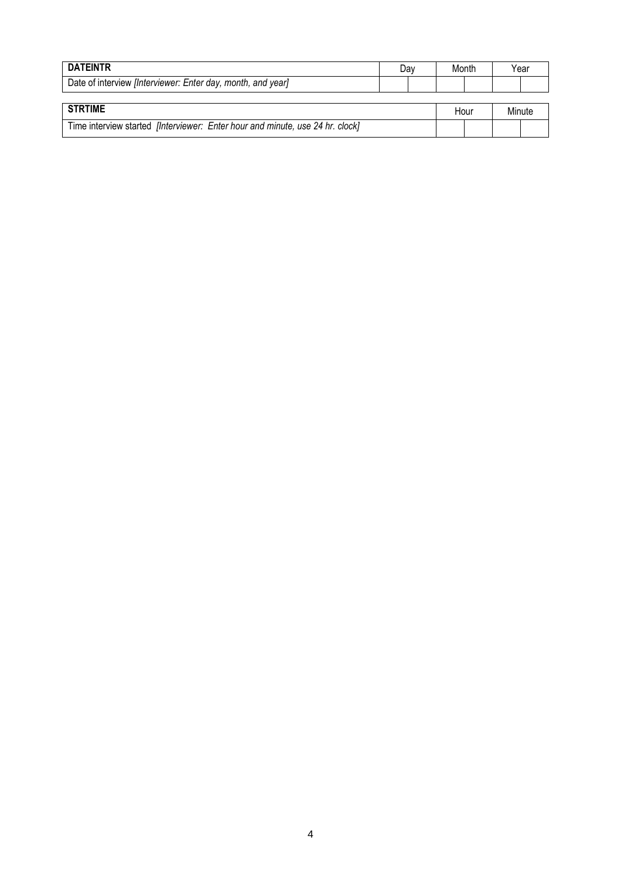| <b>DATEINTR</b>                                                               | Dav | Month | Year   |
|-------------------------------------------------------------------------------|-----|-------|--------|
| Date of interview <i>[Interviewer: Enter day, month, and year]</i>            |     |       |        |
|                                                                               |     |       |        |
| <b>STRTIME</b>                                                                |     | Hour  | Minute |
| Time interview started [Interviewer: Enter hour and minute, use 24 hr. clock] |     |       |        |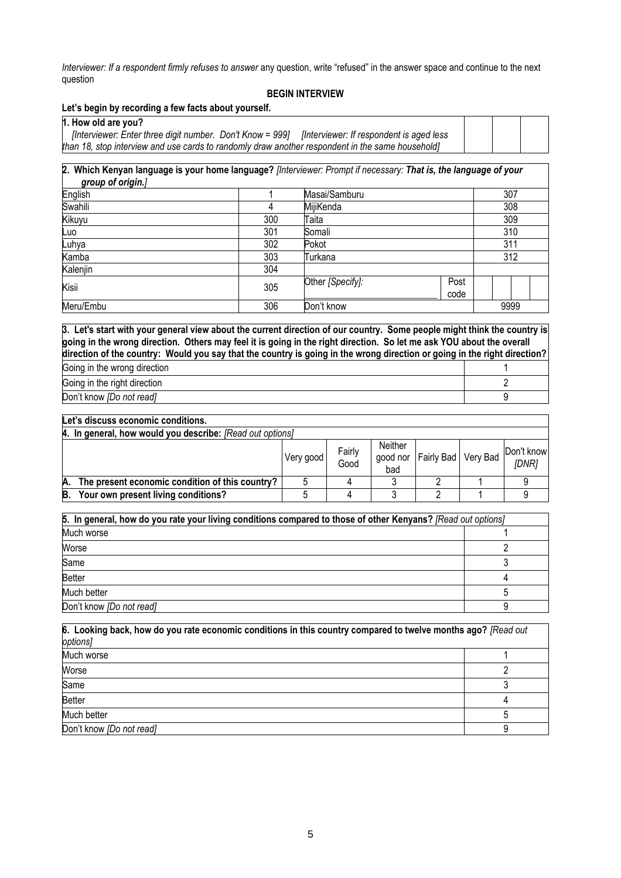*Interviewer: If a respondent firmly refuses to answer* any question, write "refused" in the answer space and continue to the next question

#### **BEGIN INTERVIEW**

#### **Let's begin by recording a few facts about yourself.**

**1. How old are you?**

| [Interviewer: Enter three digit number. Don't Know = 999] [Interviewer: If respondent is aged less |  |
|----------------------------------------------------------------------------------------------------|--|
| than 18, stop interview and use cards to randomly draw another respondent in the same household]   |  |

**2. Which Kenyan language is your home language?** *[Interviewer: Prompt if necessary: That is, the language of your group of origin.]* 

| English   |     | Masai/Samburu    | 307          |      |  |  |
|-----------|-----|------------------|--------------|------|--|--|
| Swahili   | 4   | MijiKenda        | 308          |      |  |  |
| Kikuyu    | 300 | Taita            |              | 309  |  |  |
| Luo       | 301 | Somali           |              | 310  |  |  |
| Luhya     | 302 | Pokot            | 311          |      |  |  |
| Kamba     | 303 | Turkana          | 312          |      |  |  |
| Kalenjin  | 304 |                  |              |      |  |  |
| Kisii     | 305 | Other [Specify]: | Post<br>code |      |  |  |
| Meru/Embu | 306 | Don't know       |              | 9999 |  |  |

**3. Let's start with your general view about the current direction of our country. Some people might think the country is going in the wrong direction. Others may feel it is going in the right direction. So let me ask YOU about the overall direction of the country: Would you say that the country is going in the wrong direction or going in the right direction?**

| Going in the wrong direction |  |
|------------------------------|--|
| Going in the right direction |  |
| Don't know [Do not read]     |  |

#### **Let's discuss economic conditions.**

|    | 4. In general, how would you describe: [Read out options] |           |                |                            |                     |  |                     |
|----|-----------------------------------------------------------|-----------|----------------|----------------------------|---------------------|--|---------------------|
|    |                                                           | Very good | Fairly<br>Good | Neither<br>good nor<br>bad | Fairly Bad Very Bad |  | Don't know<br>(DNR) |
| A. | The present economic condition of this country?           |           |                |                            |                     |  |                     |
| B. | Your own present living conditions?                       |           |                |                            |                     |  |                     |

| 5. In general, how do you rate your living conditions compared to those of other Kenyans? [Read out options] |  |  |
|--------------------------------------------------------------------------------------------------------------|--|--|
| Much worse                                                                                                   |  |  |
| Worse                                                                                                        |  |  |
| Same                                                                                                         |  |  |
| <b>Better</b>                                                                                                |  |  |
| Much better                                                                                                  |  |  |
| Don't know [Do not read]                                                                                     |  |  |

| 6. Looking back, how do you rate economic conditions in this country compared to twelve months ago? [Read out |  |  |  |  |  |
|---------------------------------------------------------------------------------------------------------------|--|--|--|--|--|
| options]                                                                                                      |  |  |  |  |  |
| Much worse                                                                                                    |  |  |  |  |  |
| Worse                                                                                                         |  |  |  |  |  |
| Same                                                                                                          |  |  |  |  |  |
| <b>Better</b>                                                                                                 |  |  |  |  |  |
| Much better                                                                                                   |  |  |  |  |  |
| Don't know [Do not read]                                                                                      |  |  |  |  |  |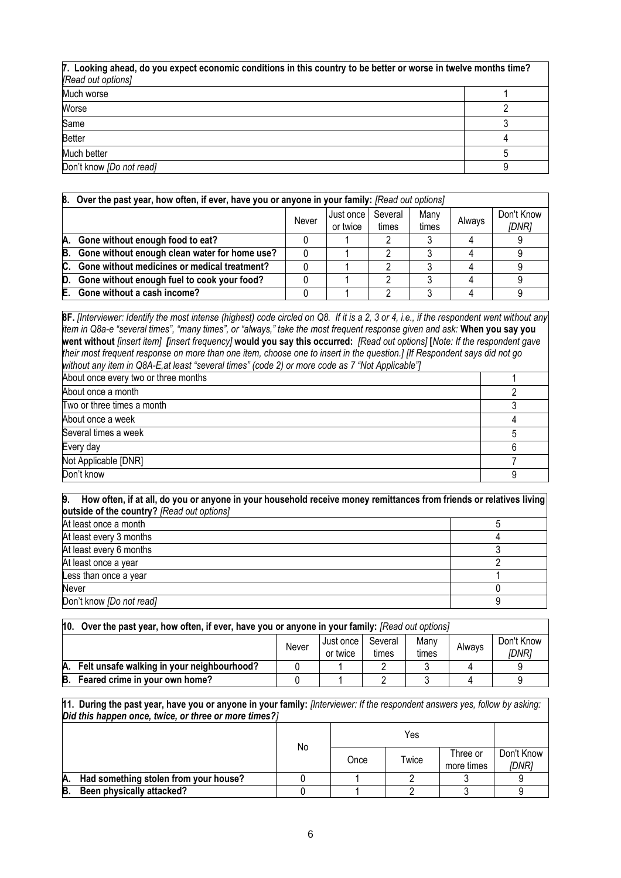| 7. Looking ahead, do you expect economic conditions in this country to be better or worse in twelve months time? |  |  |
|------------------------------------------------------------------------------------------------------------------|--|--|
| [Read out options]                                                                                               |  |  |
| Much worse                                                                                                       |  |  |
| Worse                                                                                                            |  |  |
| Same                                                                                                             |  |  |
| <b>Better</b>                                                                                                    |  |  |
| Much better                                                                                                      |  |  |
| Don't know [Do not read]                                                                                         |  |  |

|    | 8. Over the past year, how often, if ever, have you or anyone in your family: [Read out options]     |  |  |  |  |  |  |  |
|----|------------------------------------------------------------------------------------------------------|--|--|--|--|--|--|--|
|    | Don't Know<br>Several<br>Many<br>Just once<br>Never<br>Always<br>times<br>or twice<br>[DNR]<br>times |  |  |  |  |  |  |  |
| А. | Gone without enough food to eat?                                                                     |  |  |  |  |  |  |  |
| B. | Gone without enough clean water for home use?                                                        |  |  |  |  |  |  |  |
| C. | Gone without medicines or medical treatment?                                                         |  |  |  |  |  |  |  |
| D. | Gone without enough fuel to cook your food?                                                          |  |  |  |  |  |  |  |
| E. | Gone without a cash income?                                                                          |  |  |  |  |  |  |  |

**8F.** *[Interviewer: Identify the most intense (highest) code circled on Q8. If it is a 2, 3 or 4, i.e., if the respondent went without any item in Q8a-e "several times", "many times", or "always," take the most frequent response given and ask:* **When you say you went without** *[insert item] [insert frequency]* **would you say this occurred:** *[Read out options]* **[***Note: If the respondent gave their most frequent response on more than one item, choose one to insert in the question.] [If Respondent says did not go without any item in Q8A-E,at least "several times" (code 2) or more code as 7 "Not Applicable"]*

| About once every two or three months |  |
|--------------------------------------|--|
| About once a month                   |  |
| Two or three times a month           |  |
| About once a week                    |  |
| Several times a week                 |  |
| Every day                            |  |
| Not Applicable [DNR]                 |  |
| Don't know                           |  |

#### **9. How often, if at all, do you or anyone in your household receive money remittances from friends or relatives living outside of the country?** *[Read out options]*

| At least once a month    |  |
|--------------------------|--|
| At least every 3 months  |  |
| At least every 6 months  |  |
| At least once a year     |  |
| Less than once a year    |  |
| Never                    |  |
| Don't know [Do not read] |  |

| 10. | Over the past year, how often, if ever, have you or anyone in your family: [Read out options] |  |  |  |  |  |            |  |
|-----|-----------------------------------------------------------------------------------------------|--|--|--|--|--|------------|--|
|     | Many<br>Several<br>Just once<br>Always<br>Never<br><i>IDNR1</i><br>times<br>times<br>or twice |  |  |  |  |  | Don't Know |  |
| A.  | Felt unsafe walking in your neighbourhood?                                                    |  |  |  |  |  |            |  |
| В.  | Feared crime in your own home?                                                                |  |  |  |  |  |            |  |

**11. During the past year, have you or anyone in your family:** *[Interviewer: If the respondent answers yes, follow by asking: Did this happen once, twice, or three or more times?]*

|    |                                       | No |      |       |                        |                            |
|----|---------------------------------------|----|------|-------|------------------------|----------------------------|
|    |                                       |    | Once | Twice | Three or<br>more times | Don't Know<br><b>IDNR1</b> |
| Α. | Had something stolen from your house? |    |      |       |                        |                            |
| B  | Been physically attacked?             |    |      |       |                        |                            |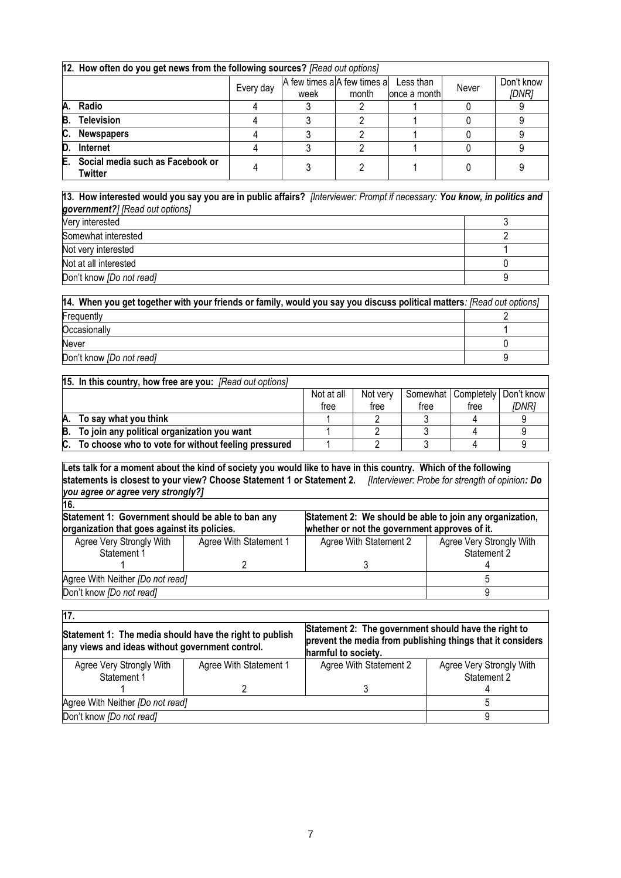|    | 12. How often do you get news from the following sources? [Read out options] |                                                                                        |  |  |  |  |  |  |  |
|----|------------------------------------------------------------------------------|----------------------------------------------------------------------------------------|--|--|--|--|--|--|--|
|    |                                                                              | A few times a A few times a<br>Less than<br>Every day<br>month<br>once a month<br>week |  |  |  |  |  |  |  |
| A. | Radio                                                                        |                                                                                        |  |  |  |  |  |  |  |
| B. | <b>Television</b>                                                            |                                                                                        |  |  |  |  |  |  |  |
| C. | <b>Newspapers</b>                                                            |                                                                                        |  |  |  |  |  |  |  |
| D. | <b>Internet</b>                                                              |                                                                                        |  |  |  |  |  |  |  |
| E. | Social media such as Facebook or<br><b>Twitter</b>                           |                                                                                        |  |  |  |  |  |  |  |

#### **13. How interested would you say you are in public affairs?** *[Interviewer: Prompt if necessary: You know, in politics and government?] [Read out options]*

| .                        |  |
|--------------------------|--|
| Very interested          |  |
| Somewhat interested      |  |
| Not very interested      |  |
| Not at all interested    |  |
| Don't know [Do not read] |  |

| [14. When you get together with your friends or family, would you say you discuss political matters: [Read out options] |  |
|-------------------------------------------------------------------------------------------------------------------------|--|
| Frequently                                                                                                              |  |
| Occasionally                                                                                                            |  |
| Never                                                                                                                   |  |
| Don't know [Do not read]                                                                                                |  |

|    | 15. In this country, how free are you: [Read out options] |            |          |      |                                    |       |
|----|-----------------------------------------------------------|------------|----------|------|------------------------------------|-------|
|    |                                                           | Not at all | Not verv |      | Somewhat   Completely   Don't know |       |
|    |                                                           | tree       | tree     | tree | tree                               | IDNR1 |
| А. | To say what you think                                     |            |          |      |                                    |       |
|    | B. To join any political organization you want            |            |          |      |                                    |       |
| C. | To choose who to vote for without feeling pressured       |            |          |      |                                    |       |

**Lets talk for a moment about the kind of society you would like to have in this country. Which of the following statements is closest to your view? Choose Statement 1 or Statement 2.** *[Interviewer: Probe for strength of opinion: Do you agree or agree very strongly?]*

| Statement 1: Government should be able to ban any<br>organization that goes against its policies. | Statement 2: We should be able to join any organization,<br>whether or not the government approves of it. |                          |  |  |  |
|---------------------------------------------------------------------------------------------------|-----------------------------------------------------------------------------------------------------------|--------------------------|--|--|--|
| Agree With Statement 1                                                                            | Agree With Statement 2                                                                                    | Agree Very Strongly With |  |  |  |
|                                                                                                   |                                                                                                           | Statement 2              |  |  |  |
|                                                                                                   |                                                                                                           |                          |  |  |  |
| Agree With Neither [Do not read]                                                                  |                                                                                                           |                          |  |  |  |
|                                                                                                   |                                                                                                           |                          |  |  |  |
|                                                                                                   |                                                                                                           |                          |  |  |  |

| 17.                                                                                                        |                        |                                                                                                                                           |                          |  |  |  |
|------------------------------------------------------------------------------------------------------------|------------------------|-------------------------------------------------------------------------------------------------------------------------------------------|--------------------------|--|--|--|
| Statement 1: The media should have the right to publish<br>any views and ideas without government control. |                        | Statement 2: The government should have the right to<br>prevent the media from publishing things that it considers<br>harmful to society. |                          |  |  |  |
| Agree Very Strongly With                                                                                   | Agree With Statement 1 | Agree With Statement 2                                                                                                                    | Agree Very Strongly With |  |  |  |
| Statement 1                                                                                                |                        |                                                                                                                                           | Statement 2              |  |  |  |
|                                                                                                            |                        |                                                                                                                                           |                          |  |  |  |
| Agree With Neither [Do not read]                                                                           |                        |                                                                                                                                           |                          |  |  |  |
| Don't know [Do not read]                                                                                   |                        |                                                                                                                                           |                          |  |  |  |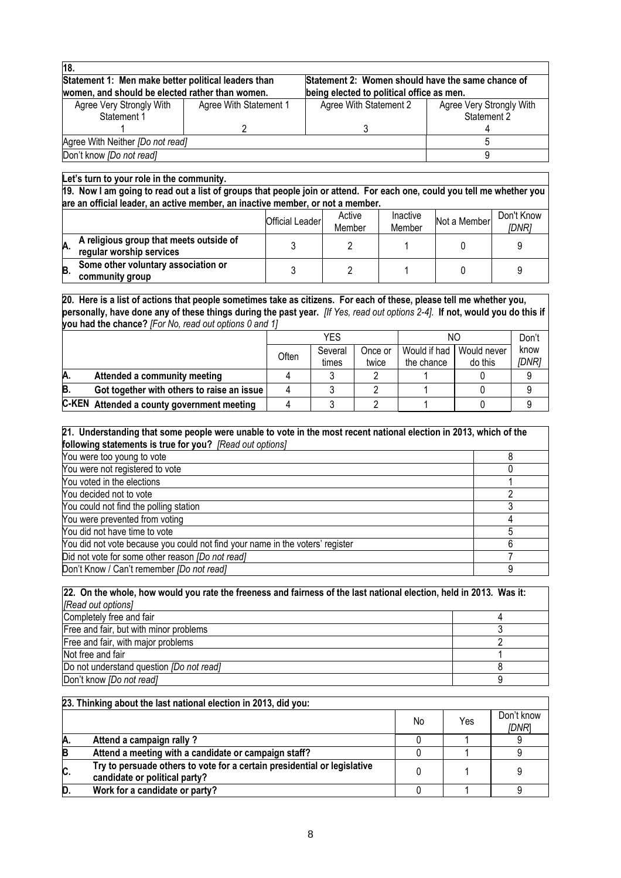| 18.                                                 |                        |                                                   |                          |
|-----------------------------------------------------|------------------------|---------------------------------------------------|--------------------------|
| Statement 1: Men make better political leaders than |                        | Statement 2: Women should have the same chance of |                          |
| women, and should be elected rather than women.     |                        | being elected to political office as men.         |                          |
| Agree Very Strongly With                            | Agree With Statement 1 | Agree With Statement 2                            | Agree Very Strongly With |
| Statement 1                                         |                        |                                                   | Statement 2              |
|                                                     |                        |                                                   |                          |
| Agree With Neither [Do not read]                    |                        |                                                   |                          |
| Don't know [Do not read]                            |                        |                                                   |                          |

#### **Let's turn to your role in the community.**

**19. Now I am going to read out a list of groups that people join or attend. For each one, could you tell me whether you are an official leader, an active member, an inactive member, or not a member.**

|    |                                                                     | <b>Official Leader</b> | Active<br>Member | Inactive<br>Member | Not a Member | Don't Know<br>[DNR] |
|----|---------------------------------------------------------------------|------------------------|------------------|--------------------|--------------|---------------------|
| A. | A religious group that meets outside of<br>regular worship services |                        |                  |                    |              |                     |
| B. | Some other voluntary association or<br>community group              |                        |                  |                    |              |                     |

**20. Here is a list of actions that people sometimes take as citizens. For each of these, please tell me whether you, personally, have done any of these things during the past year.** *[If Yes, read out options 2-4].* **If not, would you do this if you had the chance?** *[For No, read out options 0 and 1]*

|    |                                            | YES   |                  | NΟ               |                            | Don't                  |               |
|----|--------------------------------------------|-------|------------------|------------------|----------------------------|------------------------|---------------|
|    |                                            | Often | Several<br>times | Once or<br>twice | Would if had<br>the chance | Would never<br>do this | know<br>[DNR] |
| A. | Attended a community meeting               |       |                  |                  |                            |                        |               |
| B. | Got together with others to raise an issue |       |                  |                  |                            |                        |               |
|    | C-KEN Attended a county government meeting |       |                  |                  |                            |                        |               |

| 21. Understanding that some people were unable to vote in the most recent national election in 2013, which of the |  |  |  |  |
|-------------------------------------------------------------------------------------------------------------------|--|--|--|--|
| following statements is true for you? [Read out options]                                                          |  |  |  |  |
| You were too young to vote                                                                                        |  |  |  |  |
| You were not registered to vote                                                                                   |  |  |  |  |
| You voted in the elections                                                                                        |  |  |  |  |
| You decided not to vote                                                                                           |  |  |  |  |
| You could not find the polling station                                                                            |  |  |  |  |
| You were prevented from voting                                                                                    |  |  |  |  |
| You did not have time to vote                                                                                     |  |  |  |  |
| You did not vote because you could not find your name in the voters' register                                     |  |  |  |  |
| Did not vote for some other reason [Do not read]                                                                  |  |  |  |  |
| Don't Know / Can't remember [Do not read]                                                                         |  |  |  |  |

| [22. On the whole, how would you rate the freeness and fairness of the last national election, held in 2013. Was it: |  |  |  |
|----------------------------------------------------------------------------------------------------------------------|--|--|--|
| [Read out options]                                                                                                   |  |  |  |
| Completely free and fair                                                                                             |  |  |  |
| Free and fair, but with minor problems                                                                               |  |  |  |
| Free and fair, with major problems                                                                                   |  |  |  |
| Not free and fair                                                                                                    |  |  |  |
| Do not understand question <i>[Do not read]</i>                                                                      |  |  |  |
| Don't know [Do not read]                                                                                             |  |  |  |

|    | 23. Thinking about the last national election in 2013, did you:                                           |    |     |                             |
|----|-----------------------------------------------------------------------------------------------------------|----|-----|-----------------------------|
|    |                                                                                                           | No | Yes | Don't know<br><i>IDNR</i> 1 |
| A. | Attend a campaign rally ?                                                                                 |    |     |                             |
| B  | Attend a meeting with a candidate or campaign staff?                                                      |    |     |                             |
| C. | Try to persuade others to vote for a certain presidential or legislative<br>candidate or political party? |    |     |                             |
| D  | Work for a candidate or party?                                                                            |    |     |                             |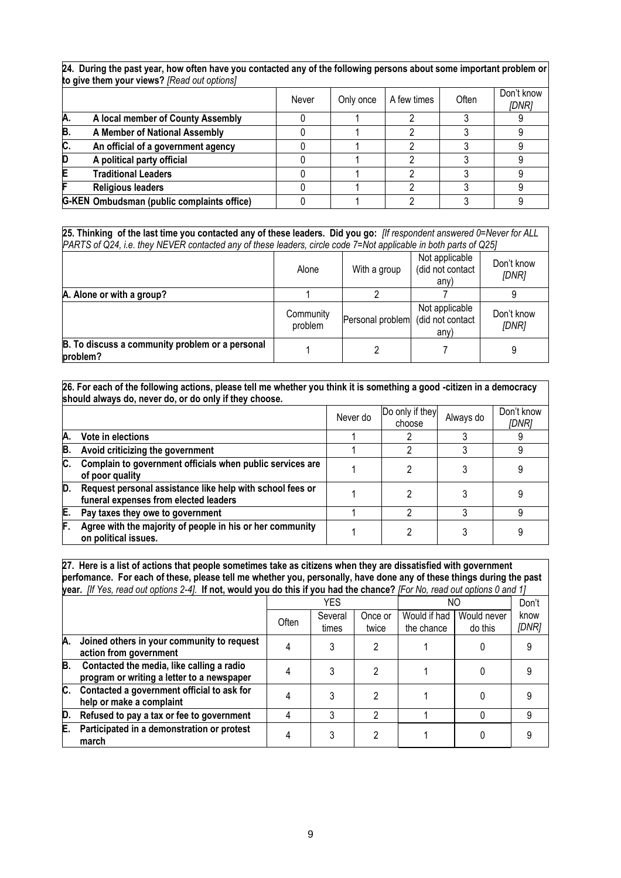|     | to give them your views? [Read out options] |       |           |             |       |                     |  |  |
|-----|---------------------------------------------|-------|-----------|-------------|-------|---------------------|--|--|
|     |                                             | Never | Only once | A few times | Often | Don't know<br>[DNR] |  |  |
| Α.  | A local member of County Assembly           |       |           |             |       |                     |  |  |
| В   | A Member of National Assembly               |       |           |             |       |                     |  |  |
| IC. | An official of a government agency          |       |           |             |       |                     |  |  |
|     | A political party official                  |       |           |             |       |                     |  |  |
|     | <b>Traditional Leaders</b>                  |       |           |             |       |                     |  |  |
|     | <b>Religious leaders</b>                    |       |           |             |       |                     |  |  |
|     | G-KEN Ombudsman (public complaints office)  |       |           |             |       |                     |  |  |

**24. During the past year, how often have you contacted any of the following persons about some important problem or** 

**25. Thinking of the last time you contacted any of these leaders. Did you go:** *[If respondent answered 0=Never for ALL PARTS of Q24, i.e. they NEVER contacted any of these leaders, circle code 7=Not applicable in both parts of Q25]*

|                                                             | Alone                | With a group     | Not applicable<br>(did not contact<br>any) | Don't know<br>[DNR] |
|-------------------------------------------------------------|----------------------|------------------|--------------------------------------------|---------------------|
| A. Alone or with a group?                                   |                      |                  |                                            |                     |
|                                                             | Community<br>problem | Personal problem | Not applicable<br>(did not contact<br>any) | Don't know<br>[DNR] |
| B. To discuss a community problem or a personal<br>problem? |                      |                  |                                            |                     |

|    | 26. For each of the following actions, please tell me whether you think it is something a good -citizen in a democracy<br>should always do, never do, or do only if they choose. |          |                           |           |                     |  |
|----|----------------------------------------------------------------------------------------------------------------------------------------------------------------------------------|----------|---------------------------|-----------|---------------------|--|
|    |                                                                                                                                                                                  | Never do | Do only if they<br>choose | Always do | Don't know<br>IDNR1 |  |
| Α. | Vote in elections                                                                                                                                                                |          |                           |           |                     |  |
| B. | Avoid criticizing the government                                                                                                                                                 |          |                           |           | 9                   |  |
| C. | Complain to government officials when public services are<br>of poor quality                                                                                                     |          |                           |           |                     |  |
| D. | Request personal assistance like help with school fees or<br>funeral expenses from elected leaders                                                                               |          |                           |           |                     |  |
| E. | Pay taxes they owe to government                                                                                                                                                 |          |                           |           | 9                   |  |
| F. | Agree with the majority of people in his or her community<br>on political issues.                                                                                                |          |                           |           |                     |  |

**27. Here is a list of actions that people sometimes take as citizens when they are dissatisfied with government perfomance. For each of these, please tell me whether you, personally, have done any of these things during the past year.** *[If Yes, read out options 2-4].* **If not, would you do this if you had the chance?** *[For No, read out options 0 and 1]*

|    |                                                                                         |       | YES              |                  | ΝO                         | Don't                  |               |
|----|-----------------------------------------------------------------------------------------|-------|------------------|------------------|----------------------------|------------------------|---------------|
|    |                                                                                         | Often | Several<br>times | Once or<br>twice | Would if had<br>the chance | Would never<br>do this | know<br>[DNR] |
| А. | Joined others in your community to request<br>action from government                    |       |                  | 2                |                            |                        |               |
| B. | Contacted the media, like calling a radio<br>program or writing a letter to a newspaper |       |                  | າ                |                            |                        |               |
| C. | Contacted a government official to ask for<br>help or make a complaint                  |       |                  | າ                |                            |                        |               |
| D. | Refused to pay a tax or fee to government                                               |       |                  | 2                |                            |                        |               |
| E. | Participated in a demonstration or protest<br>march                                     |       |                  |                  |                            |                        |               |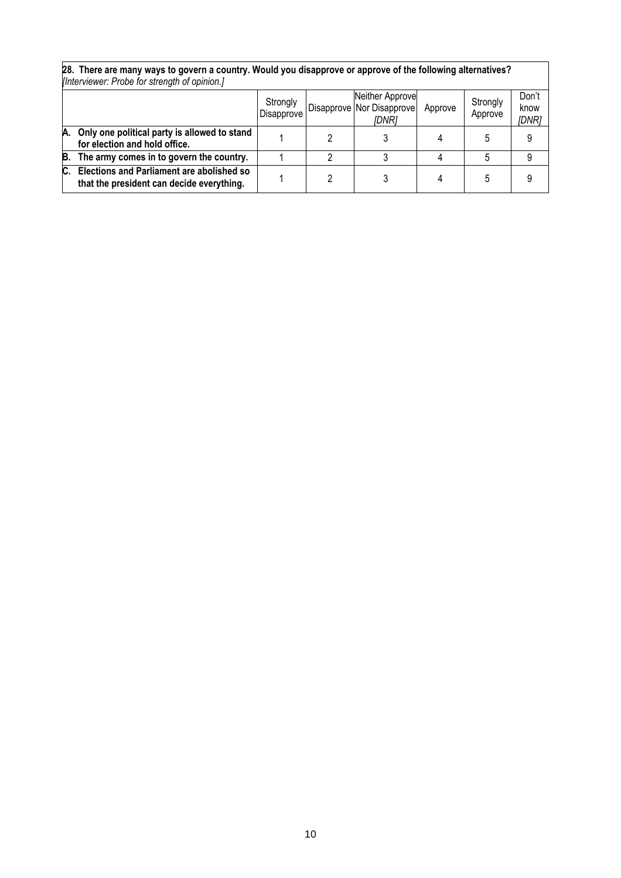|    | [Interviewer: Probe for strength of opinion.]                                          |                        |  |                                                       |         |                     |                        |  |
|----|----------------------------------------------------------------------------------------|------------------------|--|-------------------------------------------------------|---------|---------------------|------------------------|--|
|    |                                                                                        | Strongly<br>Disapprove |  | Neither Approve<br>Disapprove Nor Disapprove<br>[DNR] | Approve | Strongly<br>Approve | Don't<br>know<br>[DNR] |  |
| А. | Only one political party is allowed to stand<br>for election and hold office.          |                        |  |                                                       |         |                     | 9                      |  |
| B. | The army comes in to govern the country.                                               |                        |  |                                                       |         |                     | 9                      |  |
| C. | Elections and Parliament are abolished so<br>that the president can decide everything. |                        |  |                                                       |         |                     | 9                      |  |

 $\overline{\phantom{a}}$ 

# **28. There are many ways to govern a country. Would you disapprove or approve of the following alternatives?**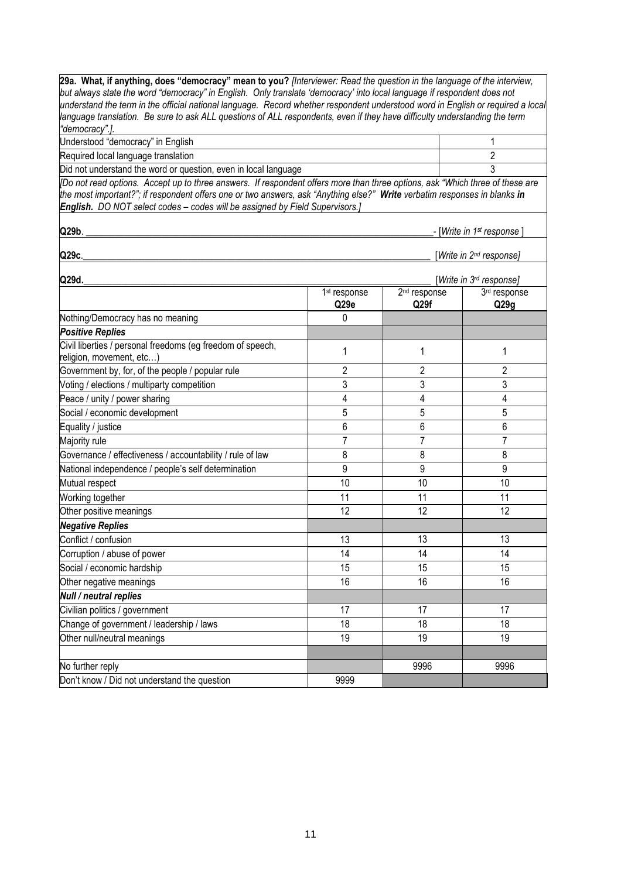**29a. What, if anything, does "democracy" mean to you?** *[Interviewer: Read the question in the language of the interview, but always state the word "democracy" in English. Only translate 'democracy' into local language if respondent does not understand the term in the official national language. Record whether respondent understood word in English or required a local language translation. Be sure to ask ALL questions of ALL respondents, even if they have difficulty understanding the term "democracy".].* Understood "democracy" in English 1 Required local language translation 2 and 2 and 2 and 2 and 2 and 2 and 2 and 2 and 2 and 2 and 2 and 2 and 2 and 2 and 2 and 2 and 2 and 2 and 2 and 2 and 2 and 2 and 2 and 2 and 2 and 2 and 2 and 2 and 2 and 2 and 2 and Did not understand the word or question, even in local language  $\frac{3}{3}$ *[Do not read options. Accept up to three answers. If respondent offers more than three options, ask "Which three of these are the most important?"; if respondent offers one or two answers, ask "Anything else?" Write verbatim responses in blanks in English. DO NOT select codes – codes will be assigned by Field Supervisors.]* **Q29b**. \_\_\_\_\_\_\_\_\_\_\_\_\_\_\_\_\_\_\_\_\_\_\_\_\_\_\_\_\_\_\_\_\_\_\_\_\_\_\_\_\_\_\_\_\_\_\_\_\_\_\_\_\_\_\_\_\_\_\_\_\_\_\_\_\_\_\_\_\_\_\_\_\_- [*Write in 1st response* ] **Q29c**.\_\_\_\_\_\_\_\_\_\_\_\_\_\_\_\_\_\_\_\_\_\_\_\_\_\_\_\_\_\_\_\_\_\_\_\_\_\_\_\_\_\_\_\_\_\_\_\_\_\_\_\_\_\_\_\_\_\_\_\_\_\_\_\_\_\_\_\_\_\_\_\_\_ [*Write in 2nd response]* **Q29d.**\_\_\_\_\_\_\_\_\_\_\_\_\_\_\_\_\_\_\_\_\_\_\_\_\_\_\_\_\_\_\_\_\_\_\_\_\_\_\_\_\_\_\_\_\_\_\_\_\_\_\_\_\_\_\_\_\_\_\_\_\_\_\_\_\_\_\_\_\_\_\_\_\_ [*Write in 3rd response]* 1 st response **Q29e** 2 nd response **Q29f** 3 rd response **Q29g** Nothing/Democracy has no meaning and the control of the control of the control of the control of the control o *Positive Replies* Civil liberties / personal freedoms (eg freedom of speech, Civil liberties / personal freedoms (eg freedom or speech, 1992) and 1992 and 1993 (1994) and 1993 (1994) and 1<br>Teligion, movement, etc...) Government by, for, of the people / popular rule 2 2 2 2 Voting / elections / multiparty competition and the state of the state of the state of the state of the state of the state of the state of the state of the state of the state of the state of the state of the state of the s Peace / unity / power sharing  $\begin{array}{ccc} 4 & 4 & 4 \end{array}$  4  $\begin{array}{ccc} 4 & 4 & 4 \end{array}$ Social / economic development 5 5 5 Equality / justice 6 6 6 Majority rule 7 7 7 Governance / effectiveness / accountability / rule of law 8 8 8 National independence / people's self determination 9 9 9 Mutual respect that the control of the control of the control of the control of the control of the control of the control of the control of the control of the control of the control of the control of the control of the con Working together the control of the control of the control of the control of the control of the control of the control of the control of the control of the control of the control of the control of the control of the contro Other positive meanings and the control of the control of the control of the control of the control of the control of the control of the control of the control of the control of the control of the control of the control of *Negative Replies* Conflict / confusion 13 13 13 Corruption / abuse of power 14 14 14 Social / economic hardship 15 15 15 15 15 15 15 Other negative meanings 16 16 16 *Null / neutral replies* Civilian politics / government 17 17 17 17 17 17 17 17 17 17 Change of government / leadership / laws 18 18 18 18 18 18 18 Other null/neutral meanings 19 19 19 19 19 19 19 19 No further reply the control of the control of the control of the control of the control of the control of the control of the control of the control of the control of the control of the control of the control of the contro Don't know / Did not understand the question 9999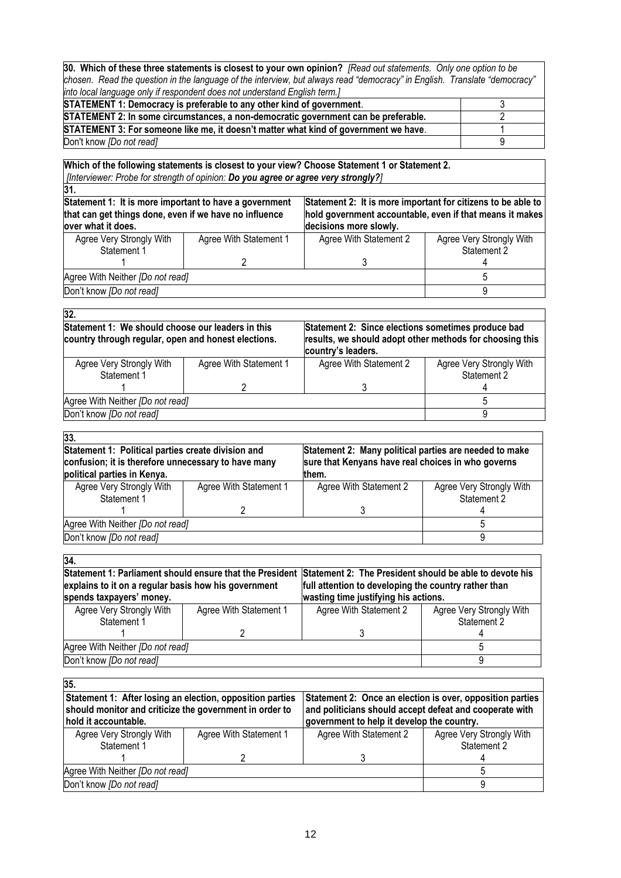**30. Which of these three statements is closest to your own opinion?** *[Read out statements. Only one option to be chosen. Read the question in the language of the interview, but always read "democracy" in English. Translate "democracy" into local language only if respondent does not understand English term.]*

| STATEMENT 1: Democracy is preferable to any other kind of government.                |  |
|--------------------------------------------------------------------------------------|--|
| STATEMENT 2: In some circumstances, a non-democratic government can be preferable.   |  |
| STATEMENT 3: For someone like me, it doesn't matter what kind of government we have. |  |
| Don't know <i>IDo not readl</i>                                                      |  |

**Which of the following statements is closest to your view? Choose Statement 1 or Statement 2.**  *[Interviewer: Probe for strength of opinion: Do you agree or agree very strongly?]*

| 31.                                                                                                                                                                                                                                          |                        |                        |                          |
|----------------------------------------------------------------------------------------------------------------------------------------------------------------------------------------------------------------------------------------------|------------------------|------------------------|--------------------------|
| Statement 1: It is more important to have a government<br>Statement 2: It is more important for citizens to be able to<br>that can get things done, even if we have no influence<br>hold government accountable, even if that means it makes |                        |                        |                          |
| over what it does.                                                                                                                                                                                                                           |                        | decisions more slowly. |                          |
| Agree Very Strongly With                                                                                                                                                                                                                     | Agree With Statement 1 | Agree With Statement 2 | Agree Very Strongly With |
| Statement 1                                                                                                                                                                                                                                  |                        |                        | Statement 2              |
|                                                                                                                                                                                                                                              |                        |                        |                          |
| Agree With Neither [Do not read]                                                                                                                                                                                                             |                        |                        |                          |
| Don't know [Do not read]                                                                                                                                                                                                                     |                        |                        |                          |

| 32.                                                                                                      |                        |                                                                                                                                      |                                         |  |
|----------------------------------------------------------------------------------------------------------|------------------------|--------------------------------------------------------------------------------------------------------------------------------------|-----------------------------------------|--|
| Statement 1: We should choose our leaders in this<br>country through regular, open and honest elections. |                        | Statement 2: Since elections sometimes produce bad<br>results, we should adopt other methods for choosing this<br>country's leaders. |                                         |  |
| Agree Very Strongly With<br>Statement 1                                                                  | Agree With Statement 1 | Agree With Statement 2                                                                                                               | Agree Very Strongly With<br>Statement 2 |  |
|                                                                                                          |                        |                                                                                                                                      |                                         |  |
| Agree With Neither [Do not read]                                                                         |                        |                                                                                                                                      | ۰.                                      |  |
| Don't know [Do not read]                                                                                 | q                      |                                                                                                                                      |                                         |  |

| Statement 1: Political parties create division and<br>Statement 2: Many political parties are needed to make |                                                     |                          |  |  |
|--------------------------------------------------------------------------------------------------------------|-----------------------------------------------------|--------------------------|--|--|
|                                                                                                              | sure that Kenyans have real choices in who governs  |                          |  |  |
|                                                                                                              |                                                     |                          |  |  |
| Agree With Statement 1                                                                                       | Agree With Statement 2                              | Agree Very Strongly With |  |  |
|                                                                                                              |                                                     | Statement 2              |  |  |
|                                                                                                              |                                                     |                          |  |  |
| Agree With Neither [Do not read]                                                                             |                                                     |                          |  |  |
| Don't know [Do not read]                                                                                     |                                                     |                          |  |  |
|                                                                                                              | confusion; it is therefore unnecessary to have many | them.                    |  |  |

| 34.                                                                                                              |                        |                                      |                          |
|------------------------------------------------------------------------------------------------------------------|------------------------|--------------------------------------|--------------------------|
| Statement 1: Parliament should ensure that the President Statement 2: The President should be able to devote his |                        |                                      |                          |
| explains to it on a regular basis how his government<br>full attention to developing the country rather than     |                        |                                      |                          |
| spends taxpayers' money.                                                                                         |                        | wasting time justifying his actions. |                          |
| Agree Very Strongly With                                                                                         | Agree With Statement 1 | Agree With Statement 2               | Agree Very Strongly With |
| Statement 1                                                                                                      |                        |                                      | Statement 2              |
|                                                                                                                  |                        |                                      |                          |
| Agree With Neither [Do not read]                                                                                 |                        |                                      |                          |
| Don't know [Do not read]                                                                                         |                        |                                      |                          |
|                                                                                                                  |                        |                                      |                          |

| 35.                                                                                                                  |                        |                                                                                                                      |                          |  |
|----------------------------------------------------------------------------------------------------------------------|------------------------|----------------------------------------------------------------------------------------------------------------------|--------------------------|--|
| Statement 1: After losing an election, opposition parties<br>should monitor and criticize the government in order to |                        | Statement 2: Once an election is over, opposition parties<br>and politicians should accept defeat and cooperate with |                          |  |
| hold it accountable.                                                                                                 |                        | government to help it develop the country.                                                                           |                          |  |
| Agree Very Strongly With                                                                                             | Agree With Statement 1 | Agree With Statement 2                                                                                               | Agree Very Strongly With |  |
| Statement 1                                                                                                          |                        |                                                                                                                      | Statement 2              |  |
|                                                                                                                      |                        |                                                                                                                      |                          |  |
| Agree With Neither [Do not read]                                                                                     |                        |                                                                                                                      |                          |  |
| Don't know [Do not read]                                                                                             |                        |                                                                                                                      |                          |  |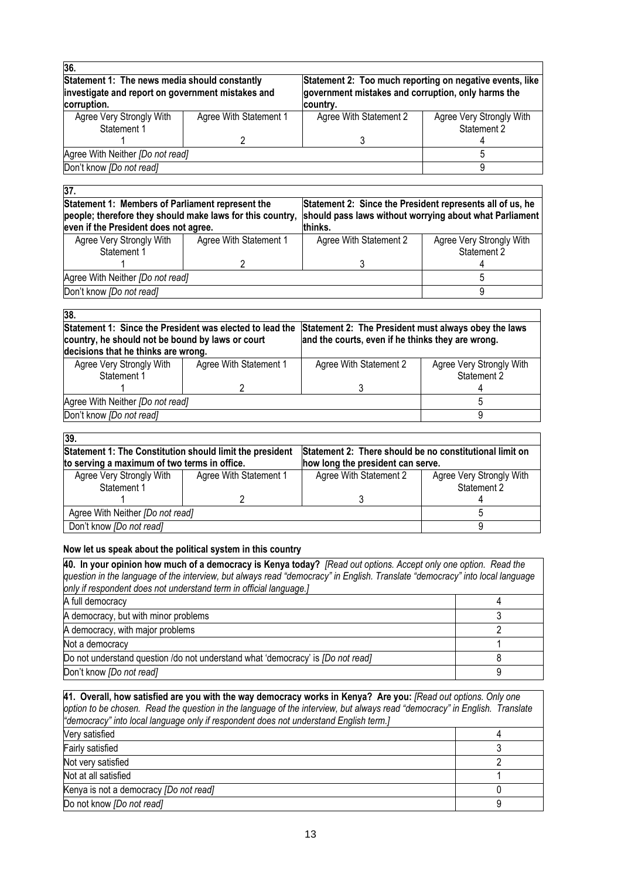| 36.                                                                                                               |                        |                                                                                                                            |                          |  |
|-------------------------------------------------------------------------------------------------------------------|------------------------|----------------------------------------------------------------------------------------------------------------------------|--------------------------|--|
| Statement 1: The news media should constantly<br>investigate and report on government mistakes and<br>corruption. |                        | Statement 2: Too much reporting on negative events, like<br>government mistakes and corruption, only harms the<br>country. |                          |  |
| Agree Very Strongly With                                                                                          | Agree With Statement 1 | Agree With Statement 2                                                                                                     | Agree Very Strongly With |  |
| Statement 1                                                                                                       |                        |                                                                                                                            | Statement 2              |  |
|                                                                                                                   |                        |                                                                                                                            |                          |  |
| Agree With Neither [Do not read]                                                                                  |                        |                                                                                                                            |                          |  |
| Don't know [Do not read]                                                                                          | 9                      |                                                                                                                            |                          |  |
|                                                                                                                   |                        |                                                                                                                            |                          |  |

| 37.                                                       |                        |                                                           |                          |  |  |
|-----------------------------------------------------------|------------------------|-----------------------------------------------------------|--------------------------|--|--|
| Statement 1: Members of Parliament represent the          |                        | Statement 2: Since the President represents all of us, he |                          |  |  |
| people; therefore they should make laws for this country, |                        | should pass laws without worrying about what Parliament   |                          |  |  |
| even if the President does not agree.                     |                        | thinks.                                                   |                          |  |  |
| Agree Very Strongly With                                  | Agree With Statement 1 | Agree With Statement 2                                    | Agree Very Strongly With |  |  |
| Statement 1                                               |                        |                                                           | Statement 2              |  |  |
|                                                           |                        |                                                           |                          |  |  |
| Agree With Neither [Do not read]                          |                        |                                                           |                          |  |  |
| Don't know [Do not read]                                  |                        |                                                           |                          |  |  |

| 38.<br>Statement 1: Since the President was elected to lead the<br>country, he should not be bound by laws or court |                        | Statement 2: The President must always obey the laws<br>and the courts, even if he thinks they are wrong. |                          |  |
|---------------------------------------------------------------------------------------------------------------------|------------------------|-----------------------------------------------------------------------------------------------------------|--------------------------|--|
| decisions that he thinks are wrong.                                                                                 |                        |                                                                                                           |                          |  |
| Agree Very Strongly With                                                                                            | Agree With Statement 1 | Agree With Statement 2                                                                                    | Agree Very Strongly With |  |
| Statement 1                                                                                                         |                        |                                                                                                           | Statement 2              |  |
|                                                                                                                     |                        |                                                                                                           |                          |  |
| Agree With Neither [Do not read]                                                                                    |                        |                                                                                                           |                          |  |
| Don't know [Do not read]                                                                                            |                        |                                                                                                           |                          |  |

| 39.                                                                                                                                                                                                      |                        |                        |                                         |  |
|----------------------------------------------------------------------------------------------------------------------------------------------------------------------------------------------------------|------------------------|------------------------|-----------------------------------------|--|
| Statement 1: The Constitution should limit the president<br>Statement 2: There should be no constitutional limit on<br>to serving a maximum of two terms in office.<br>how long the president can serve. |                        |                        |                                         |  |
| Agree Very Strongly With<br>Statement 1                                                                                                                                                                  | Agree With Statement 1 | Agree With Statement 2 | Agree Very Strongly With<br>Statement 2 |  |
| Agree With Neither [Do not read]<br>Don't know [Do not read]                                                                                                                                             |                        |                        |                                         |  |

## **Now let us speak about the political system in this country**

| 40. In your opinion how much of a democracy is Kenya today? [Read out options. Accept only one option. Read the<br>question in the language of the interview, but always read "democracy" in English. Translate "democracy" into local language |  |  |  |
|-------------------------------------------------------------------------------------------------------------------------------------------------------------------------------------------------------------------------------------------------|--|--|--|
| only if respondent does not understand term in official language.]                                                                                                                                                                              |  |  |  |
| A full democracy                                                                                                                                                                                                                                |  |  |  |
| A democracy, but with minor problems                                                                                                                                                                                                            |  |  |  |
| A democracy, with major problems                                                                                                                                                                                                                |  |  |  |
| Not a democracy                                                                                                                                                                                                                                 |  |  |  |
| Do not understand question /do not understand what 'democracy' is <i>[Do not read]</i>                                                                                                                                                          |  |  |  |
| Don't know [Do not read]                                                                                                                                                                                                                        |  |  |  |

| 41. Overall, how satisfied are you with the way democracy works in Kenya? Are you: [Read out options. Only one             |   |
|----------------------------------------------------------------------------------------------------------------------------|---|
| option to be chosen. Read the question in the language of the interview, but always read "democracy" in English. Translate |   |
| "democracy" into local language only if respondent does not understand English term.]                                      |   |
| Very satisfied                                                                                                             |   |
| Fairly satisfied                                                                                                           |   |
| Not very satisfied                                                                                                         |   |
| Not at all satisfied                                                                                                       |   |
| Kenya is not a democracy [Do not read]                                                                                     |   |
| Do not know [Do not read]                                                                                                  | a |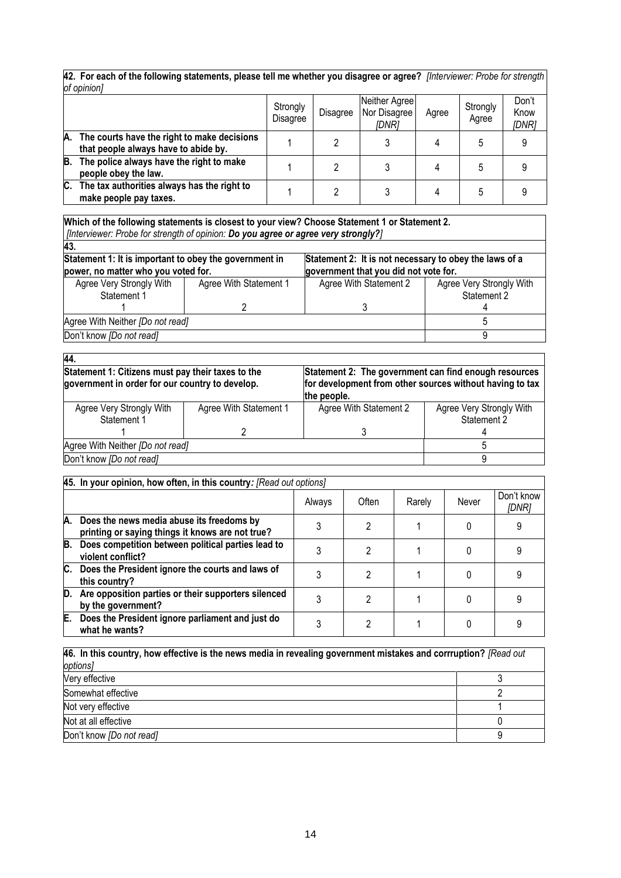|    | of opinion]                                                                         |                      |                 |                                        |       |                   |                        |
|----|-------------------------------------------------------------------------------------|----------------------|-----------------|----------------------------------------|-------|-------------------|------------------------|
|    |                                                                                     | Strongly<br>Disagree | <b>Disagree</b> | Neither Agree<br>Nor Disagree<br>IDNR1 | Agree | Strongly<br>Agree | Don't<br>Know<br>[DNR] |
| А. | The courts have the right to make decisions<br>that people always have to abide by. |                      | າ               |                                        | 4     | 5                 |                        |
| B. | The police always have the right to make<br>people obey the law.                    |                      |                 |                                        | 4     | 5                 |                        |
| C. | The tax authorities always has the right to<br>make people pay taxes.               |                      | റ               |                                        | 4     | 5                 |                        |

**42. For each of the following statements, please tell me whether you disagree or agree?** *[Interviewer: Probe for strength* 

**Which of the following statements is closest to your view? Choose Statement 1 or Statement 2.**  *[Interviewer: Probe for strength of opinion: Do you agree or agree very strongly?]*

| 43.                                                                                           |                        |                                                                                                 |                                         |  |
|-----------------------------------------------------------------------------------------------|------------------------|-------------------------------------------------------------------------------------------------|-----------------------------------------|--|
| Statement 1: It is important to obey the government in<br>power, no matter who you voted for. |                        | Statement 2: It is not necessary to obey the laws of a<br>government that you did not vote for. |                                         |  |
| Agree Very Strongly With<br>Statement 1                                                       | Agree With Statement 1 | Agree With Statement 2                                                                          | Agree Very Strongly With<br>Statement 2 |  |
|                                                                                               |                        |                                                                                                 |                                         |  |
| Agree With Neither [Do not read]                                                              |                        |                                                                                                 |                                         |  |
| Don't know <i>[Do not read]</i>                                                               |                        |                                                                                                 |                                         |  |

| 44.                                                                                                  |                        |                                                                                                                                  |                          |  |
|------------------------------------------------------------------------------------------------------|------------------------|----------------------------------------------------------------------------------------------------------------------------------|--------------------------|--|
| Statement 1: Citizens must pay their taxes to the<br>government in order for our country to develop. |                        | Statement 2: The government can find enough resources<br>for development from other sources without having to tax<br>the people. |                          |  |
| Agree Very Strongly With                                                                             | Agree With Statement 1 | Agree With Statement 2                                                                                                           | Agree Very Strongly With |  |
| Statement 1                                                                                          |                        |                                                                                                                                  | Statement 2              |  |
|                                                                                                      |                        |                                                                                                                                  |                          |  |
| Agree With Neither [Do not read]                                                                     |                        |                                                                                                                                  |                          |  |
| Don't know [Do not read]                                                                             |                        |                                                                                                                                  |                          |  |

|    | 45. In your opinion, how often, in this country: [Read out options]                              |        |       |        |       |                     |
|----|--------------------------------------------------------------------------------------------------|--------|-------|--------|-------|---------------------|
|    |                                                                                                  | Always | Often | Rarely | Never | Don't know<br>[DNR] |
|    | A. Does the news media abuse its freedoms by<br>printing or saying things it knows are not true? |        | 2     |        |       |                     |
| В. | Does competition between political parties lead to<br>violent conflict?                          |        |       |        |       |                     |
|    | C. Does the President ignore the courts and laws of<br>this country?                             |        | 2     |        |       |                     |
| D. | Are opposition parties or their supporters silenced<br>by the government?                        |        |       |        |       |                     |
| Е. | Does the President ignore parliament and just do<br>what he wants?                               |        | ∩     |        |       |                     |

| 46. In this country, how effective is the news media in revealing government mistakes and corrruption? [Read out |  |  |  |
|------------------------------------------------------------------------------------------------------------------|--|--|--|
| options]                                                                                                         |  |  |  |
| Very effective                                                                                                   |  |  |  |
| Somewhat effective                                                                                               |  |  |  |
| Not very effective                                                                                               |  |  |  |
| Not at all effective                                                                                             |  |  |  |
| Don't know [Do not read]                                                                                         |  |  |  |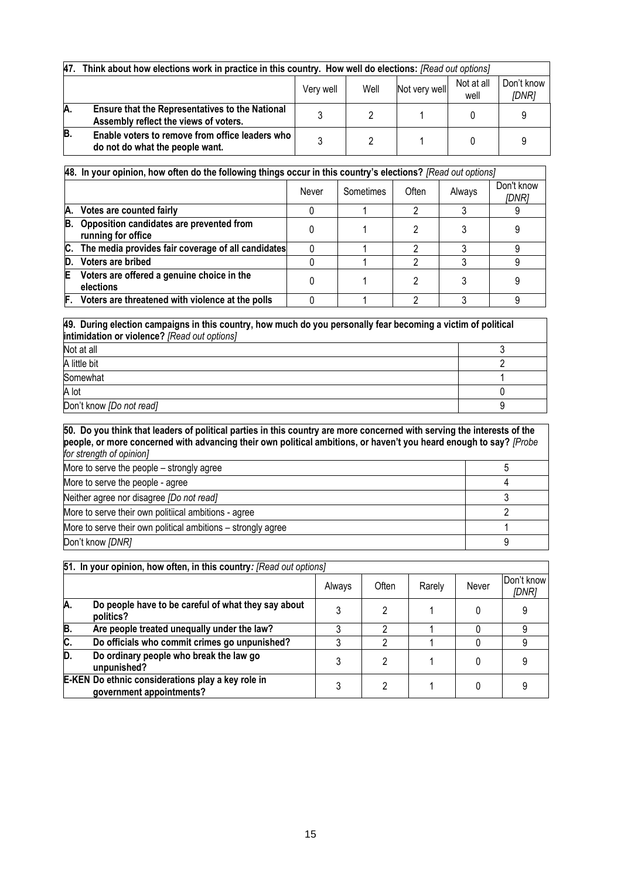| 47. | Think about how elections work in practice in this country. How well do elections: [Read out options] |           |      |               |                    |                     |
|-----|-------------------------------------------------------------------------------------------------------|-----------|------|---------------|--------------------|---------------------|
|     |                                                                                                       | Very well | Well | Not very well | Not at all<br>well | Don't know<br>[DNR] |
| IA. | <b>Ensure that the Representatives to the National</b><br>Assembly reflect the views of voters.       |           |      |               |                    |                     |
| B.  | Enable voters to remove from office leaders who<br>do not do what the people want.                    |           |      |               |                    |                     |

|    | [A8. In your opinion, how often do the following things occur in this country's elections? [Read out options] |       |           |       |        |                     |
|----|---------------------------------------------------------------------------------------------------------------|-------|-----------|-------|--------|---------------------|
|    |                                                                                                               | Never | Sometimes | Often | Always | Don't know<br>[DNR] |
| А. | Votes are counted fairly                                                                                      |       |           |       |        |                     |
| В. | Opposition candidates are prevented from<br>running for office                                                |       |           |       |        |                     |
| С. | The media provides fair coverage of all candidates                                                            |       |           | റ     |        |                     |
| D. | Voters are bribed                                                                                             |       |           | റ     |        |                     |
|    | Voters are offered a genuine choice in the<br>elections                                                       |       |           |       |        |                     |
|    | F. Voters are threatened with violence at the polls                                                           |       |           | ∩     |        |                     |

**49. During election campaigns in this country, how much do you personally fear becoming a victim of political intimidation or violence?** *[Read out options]*

| Not at all               |  |
|--------------------------|--|
| A little bit             |  |
| Somewhat                 |  |
| A lot                    |  |
| Don't know [Do not read] |  |

**50. Do you think that leaders of political parties in this country are more concerned with serving the interests of the people, or more concerned with advancing their own political ambitions, or haven't you heard enough to say?** *[Probe for strength of opinion]* More to serve the people – strongly agree 5 and 3 and 3 and 3 and 3 and 3 and 3 and 4 and 4 and 5 and 5 and 5 and 5 and 5 and 5 and 5 and 5 and 5 and 5 and 5 and 5 and 5 and 5 and 5 and 5 and 5 and 5 and 5 and 5 and 5 and More to serve the people - agree 4 Neither agree nor disagree *[Do not read]* 3 More to serve their own politiical ambitions - agree 2008 2009 2012 2014 2014 2015 2016 2017 2018 2019 2019 201 More to serve their own political ambitions – strongly agree 1 and 1 and 1 and 1 1 and 1 1 and 1 1 and 1 1 and 1 1 and 1 1 and 1 1 and 1 1 and 1 1 and 1 and 1 and 1 and 1 and 1 and 1 and 1 and 1 and 1 and 1 and 1 and 1 and Don't know *[DNR]* 9

|                  | 51. In your opinion, how often, in this country: [Read out options]           |        |              |        |       |                     |
|------------------|-------------------------------------------------------------------------------|--------|--------------|--------|-------|---------------------|
|                  |                                                                               | Always | <b>Often</b> | Rarely | Never | Don't know<br>[DNR] |
| A.               | Do people have to be careful of what they say about<br>politics?              |        |              |        |       |                     |
| B.               | Are people treated unequally under the law?                                   |        |              |        |       |                     |
| $\overline{c}$ . | Do officials who commit crimes go unpunished?                                 |        |              |        |       |                     |
| D.               | Do ordinary people who break the law go<br>unpunished?                        |        |              |        |       |                     |
|                  | E-KEN Do ethnic considerations play a key role in<br>government appointments? |        |              |        |       |                     |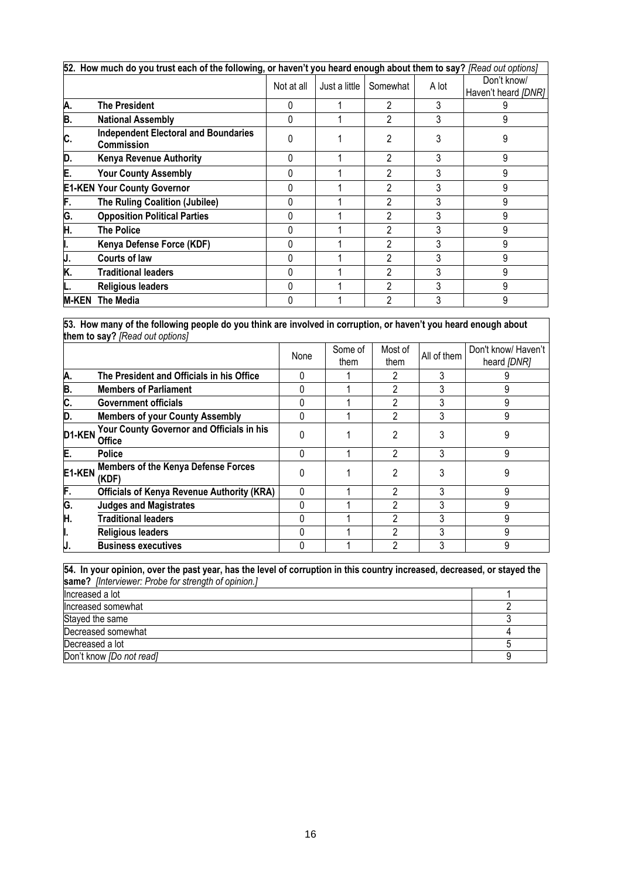|              | 52. How much do you trust each of the following, or haven't you heard enough about them to say? [Read out options] |            |               |                |       |                                    |
|--------------|--------------------------------------------------------------------------------------------------------------------|------------|---------------|----------------|-------|------------------------------------|
|              |                                                                                                                    | Not at all | Just a little | Somewhat       | A lot | Don't know/<br>Haven't heard [DNR] |
| А.           | <b>The President</b>                                                                                               |            |               | 2              | 3     |                                    |
| В.           | <b>National Assembly</b>                                                                                           |            |               | 2              |       | 9                                  |
| С.           | <b>Independent Electoral and Boundaries</b><br><b>Commission</b>                                                   |            |               | 2              |       | 9                                  |
| D.           | <b>Kenya Revenue Authority</b>                                                                                     | 0          |               | 2              | 3     | 9                                  |
| E.           | <b>Your County Assembly</b>                                                                                        | 0          |               | 2              |       | 9                                  |
|              | <b>E1-KEN Your County Governor</b>                                                                                 | 0          |               | $\mathfrak{p}$ | 3     | 9                                  |
| F.           | <b>The Ruling Coalition (Jubilee)</b>                                                                              |            |               | 2              |       | 9                                  |
| G.           | <b>Opposition Political Parties</b>                                                                                | 0          |               | 2              | 3     | 9                                  |
| Η.           | <b>The Police</b>                                                                                                  |            |               | $\mathfrak{p}$ | 3     | 9                                  |
| ı.           | Kenya Defense Force (KDF)                                                                                          | 0          |               | 2              | 3     | 9                                  |
| J.           | <b>Courts of law</b>                                                                                               |            |               | 2              |       | 9                                  |
| K.           | <b>Traditional leaders</b>                                                                                         | 0          |               | 2              |       | 9                                  |
|              | <b>Religious leaders</b>                                                                                           | 0          |               | $\mathfrak{p}$ | 3     | 9                                  |
| <b>M-KEN</b> | The Media                                                                                                          |            |               | $\mathfrak{p}$ | 3     | 9                                  |

**53. How many of the following people do you think are involved in corruption, or haven't you heard enough about them to say?** *[Read out options]*

|        |                                                            | None         | Some of<br>them | Most of<br>them | All of them | Don't know/ Haven't<br>heard [DNR] |
|--------|------------------------------------------------------------|--------------|-----------------|-----------------|-------------|------------------------------------|
| A.     | The President and Officials in his Office                  |              |                 |                 |             |                                    |
| B.     | <b>Members of Parliament</b>                               |              |                 | າ               |             |                                    |
| C.     | <b>Government officials</b>                                |              |                 |                 |             |                                    |
| D.     | <b>Members of your County Assembly</b>                     | 0            |                 | 2               |             | 9                                  |
| D1-KEN | Your County Governor and Officials in his<br><b>Office</b> | <sup>0</sup> |                 | 2               |             |                                    |
| E.     | <b>Police</b>                                              | 0            |                 |                 |             | 9                                  |
| E1-KEN | <b>Members of the Kenya Defense Forces</b><br>(KDF)        | 0            |                 | 2               |             | 9                                  |
| F.     | <b>Officials of Kenya Revenue Authority (KRA)</b>          |              |                 | っ               |             | q                                  |
| G.     | <b>Judges and Magistrates</b>                              | 0            |                 |                 |             | ä                                  |
| H.     | <b>Traditional leaders</b>                                 |              |                 | າ               |             | 9                                  |
| ı.     | <b>Religious leaders</b>                                   |              |                 | 2               |             | q                                  |
| IJ.    | <b>Business executives</b>                                 |              |                 |                 |             | 9                                  |

| 54. In your opinion, over the past year, has the level of corruption in this country increased, decreased, or stayed the |  |  |  |  |  |  |
|--------------------------------------------------------------------------------------------------------------------------|--|--|--|--|--|--|
| same? [Interviewer: Probe for strength of opinion.]                                                                      |  |  |  |  |  |  |
| Increased a lot                                                                                                          |  |  |  |  |  |  |
| Increased somewhat                                                                                                       |  |  |  |  |  |  |
| Stayed the same                                                                                                          |  |  |  |  |  |  |
| Decreased somewhat                                                                                                       |  |  |  |  |  |  |
| Decreased a lot                                                                                                          |  |  |  |  |  |  |
| Don't know <i>[Do not read]</i>                                                                                          |  |  |  |  |  |  |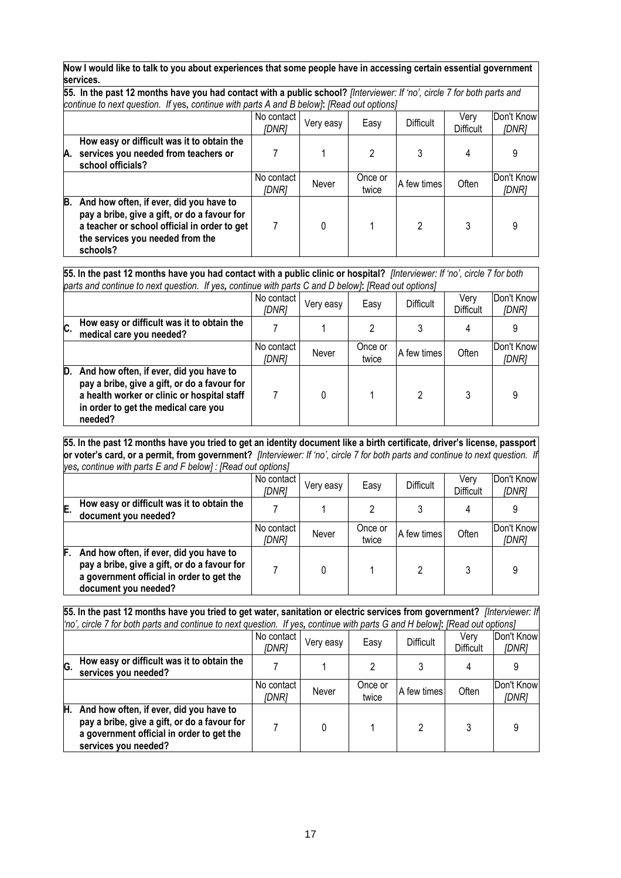#### **Now I would like to talk to you about experiences that some people have in accessing certain essential government services.**

**55. In the past 12 months have you had contact with a public school?** *[Interviewer: If 'no', circle 7 for both parts and continue to next question. If* yes**,** *continue with parts A and B below]***:** *[Read out options]*

|    | <u>pontinuo to noxt guodioni. In you, continuo with purts returns Disciplini perdu out optionoj</u>                                                                                     |                     |           |                  |             |                   |                     |  |
|----|-----------------------------------------------------------------------------------------------------------------------------------------------------------------------------------------|---------------------|-----------|------------------|-------------|-------------------|---------------------|--|
|    |                                                                                                                                                                                         | No contact<br>[DNR] | Very easy | Easy             | Difficult   | Very<br>Difficult | Don't Know<br>[DNR] |  |
| A. | How easy or difficult was it to obtain the<br>services you needed from teachers or<br>school officials?                                                                                 |                     |           |                  |             | 4                 |                     |  |
|    |                                                                                                                                                                                         | No contact<br>[DNR] | Never     | Once or<br>twice | A few times | Often             | Don't Know<br>[DNR] |  |
| B. | And how often, if ever, did you have to<br>pay a bribe, give a gift, or do a favour for<br>a teacher or school official in order to get<br>the services you needed from the<br>schools? |                     |           |                  | າ           |                   |                     |  |

**55. In the past 12 months have you had contact with a public clinic or hospital?** *[Interviewer: If 'no', circle 7 for both parts and continue to next question. If yes, continue with parts C and D below]***:** *[Read out options]*

|     | parts and continue to next question. In yes, continue with parts C and D below). Tread out options [                                                                                      |                     |           |                  |             |                   |                     |
|-----|-------------------------------------------------------------------------------------------------------------------------------------------------------------------------------------------|---------------------|-----------|------------------|-------------|-------------------|---------------------|
|     |                                                                                                                                                                                           | No contact<br>[DNR] | Very easy | Easy             | Difficult   | Verv<br>Difficult | Don't Know<br>[DNR] |
| IC. | How easy or difficult was it to obtain the<br>medical care you needed?                                                                                                                    |                     |           |                  |             |                   |                     |
|     |                                                                                                                                                                                           | No contact<br>IDNR1 | Never     | Once or<br>twice | A few times | Often             | Don't Know<br>[DNR] |
| D.  | And how often, if ever, did you have to<br>pay a bribe, give a gift, or do a favour for<br>a health worker or clinic or hospital staff<br>in order to get the medical care you<br>needed? |                     | 0         |                  | າ           |                   | 9                   |

#### **55. In the past 12 months have you tried to get an identity document like a birth certificate, driver's license, passport or voter's card, or a permit, from government?** *[Interviewer: If 'no', circle 7 for both parts and continue to next question. If yes, continue with parts E and F below] : [Read out options]*

|    |                                                                                                                                                              | No contact<br>[DNR] | Very easy | Easy             | Difficult   | Very<br><b>Difficult</b> | Don't Know<br>[DNR] |
|----|--------------------------------------------------------------------------------------------------------------------------------------------------------------|---------------------|-----------|------------------|-------------|--------------------------|---------------------|
| E. | How easy or difficult was it to obtain the<br>document you needed?                                                                                           |                     |           |                  |             |                          |                     |
|    |                                                                                                                                                              | No contact<br>[DNR] | Never     | Once or<br>twice | A few times | Often                    | Don't Know<br>[DNR] |
| F. | And how often, if ever, did you have to<br>pay a bribe, give a gift, or do a favour for<br>a government official in order to get the<br>document you needed? |                     |           |                  |             |                          | 9                   |

**55. In the past 12 months have you tried to get water, sanitation or electric services from government?** *[Interviewer: If 'no', circle 7 for both parts and continue to next question. If yes, continue with parts G and H below]***:** *[Read out options]*

|    |                                                                                                                                                              | No contact<br>[DNR] | Very easy | Easy             | <b>Difficult</b> | Verv<br><b>Difficult</b> | Don't Know<br>[DNR] |
|----|--------------------------------------------------------------------------------------------------------------------------------------------------------------|---------------------|-----------|------------------|------------------|--------------------------|---------------------|
| G. | How easy or difficult was it to obtain the<br>services you needed?                                                                                           |                     |           |                  |                  |                          |                     |
|    |                                                                                                                                                              | No contact<br>IDNR1 | Never     | Once or<br>twice | A few times      | Often                    | Don't Know<br>[DNR] |
| H. | And how often, if ever, did you have to<br>pay a bribe, give a gift, or do a favour for<br>a government official in order to get the<br>services you needed? |                     |           |                  |                  | 3                        |                     |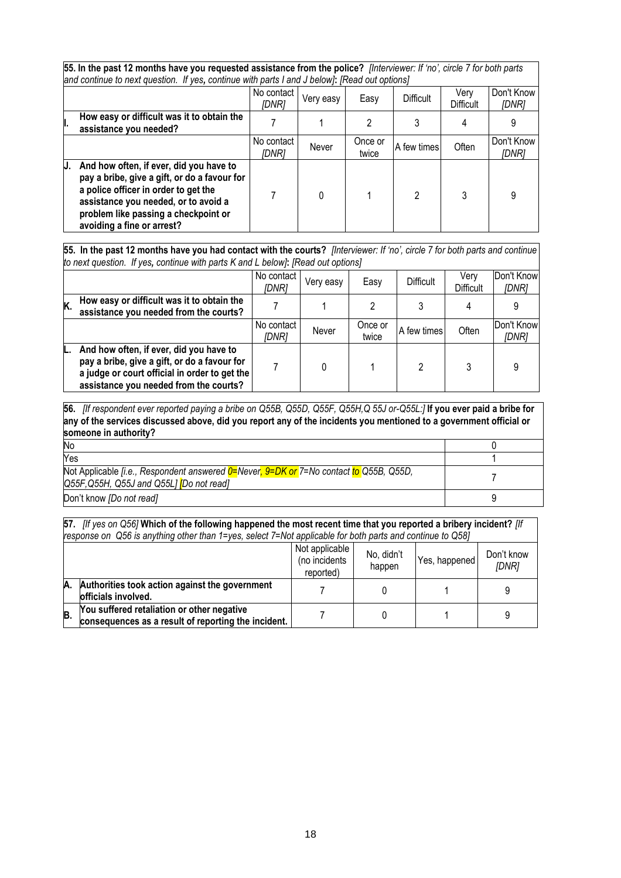| 55. In the past 12 months have you requested assistance from the police? [Interviewer: If 'no', circle 7 for both parts<br>and continue to next question. If yes, continue with parts I and J below]: [Read out options]                             |                     |           |                  |             |                          |                     |  |  |  |
|------------------------------------------------------------------------------------------------------------------------------------------------------------------------------------------------------------------------------------------------------|---------------------|-----------|------------------|-------------|--------------------------|---------------------|--|--|--|
|                                                                                                                                                                                                                                                      | No contact<br>[DNR] | Very easy | Easy             | Difficult   | Verv<br><b>Difficult</b> | Don't Know<br>[DNR] |  |  |  |
| How easy or difficult was it to obtain the<br>assistance you needed?                                                                                                                                                                                 |                     |           |                  |             |                          |                     |  |  |  |
|                                                                                                                                                                                                                                                      | No contact<br>IDNR1 | Never     | Once or<br>twice | A few times | Often                    | Don't Know<br>[DNR] |  |  |  |
| And how often, if ever, did you have to<br>IJ.<br>pay a bribe, give a gift, or do a favour for<br>a police officer in order to get the<br>assistance you needed, or to avoid a<br>problem like passing a checkpoint or<br>avoiding a fine or arrest? |                     | 0         |                  | 2           | 3                        | 9                   |  |  |  |

**55. In the past 12 months have you had contact with the courts?** *[Interviewer: If 'no', circle 7 for both parts and continue to next question. If yes, continue with parts K and L below]***:** *[Read out options]*

|    |                                                                                                                                                                                    | No contact<br>[DNR] | Very easy | Easy             | Difficult   | Verv<br><b>Difficult</b> | Don't Know<br>[DNR] |
|----|------------------------------------------------------------------------------------------------------------------------------------------------------------------------------------|---------------------|-----------|------------------|-------------|--------------------------|---------------------|
| Κ. | How easy or difficult was it to obtain the<br>assistance you needed from the courts?                                                                                               |                     |           |                  |             |                          |                     |
|    |                                                                                                                                                                                    | No contact<br>[DNR] | Never     | Once or<br>twice | A few times | Often                    | Don't Know<br>[DNR] |
|    | And how often, if ever, did you have to<br>pay a bribe, give a gift, or do a favour for<br>a judge or court official in order to get the<br>assistance you needed from the courts? |                     |           |                  |             |                          | 9                   |

**56.** *[If respondent ever reported paying a bribe on Q55B, Q55D, Q55F, Q55H,Q 55J or-Q55L:]* **If you ever paid a bribe for any of the services discussed above, did you report any of the incidents you mentioned to a government official or someone in authority?**

| <b>No</b>                                                                                                                                                 |  |
|-----------------------------------------------------------------------------------------------------------------------------------------------------------|--|
| Yes                                                                                                                                                       |  |
| Not Applicable <i>fi.e.</i> , Respondent answered $0=$ Never, $9=$ DK or 7=No contact to Q55B, Q55D,<br>$Q55F,Q55H, Q55J$ and $Q55L$ <i>[Do not read]</i> |  |
| Don't know [Do not read]                                                                                                                                  |  |

**57.** *[If yes on Q56]* **Which of the following happened the most recent time that you reported a bribery incident?** *[If response on Q56 is anything other than 1=yes, select 7=Not applicable for both parts and continue to Q58]*

|    |                                                                                                   | Not applicable<br>(no incidents<br>reported) | No, didn't<br>happen | Yes, happened | Don't know<br>[DNR] |
|----|---------------------------------------------------------------------------------------------------|----------------------------------------------|----------------------|---------------|---------------------|
| А. | Authorities took action against the government<br>officials involved.                             |                                              |                      |               |                     |
| B. | You suffered retaliation or other negative<br>consequences as a result of reporting the incident. |                                              |                      |               |                     |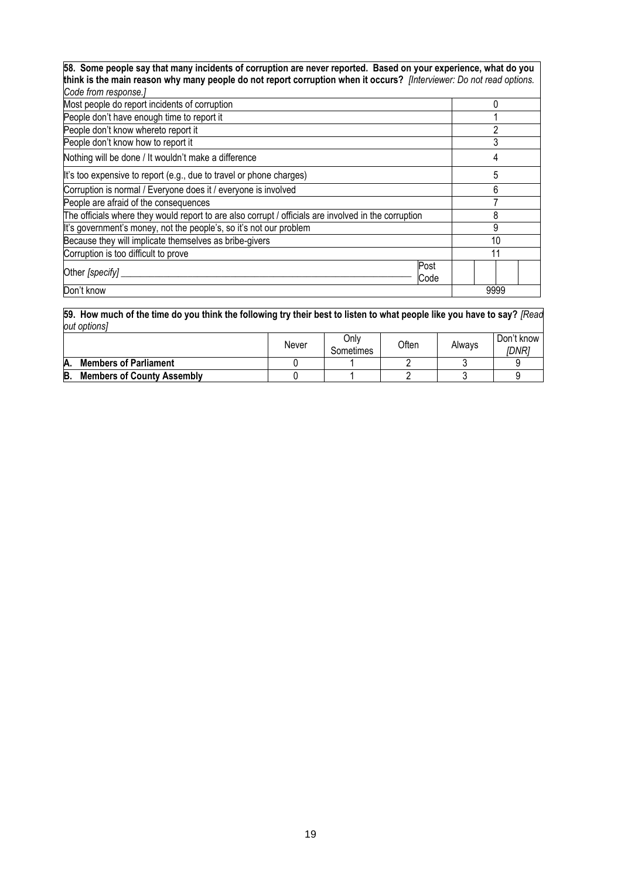**58. Some people say that many incidents of corruption are never reported. Based on your experience, what do you think is the main reason why many people do not report corruption when it occurs?** *[Interviewer: Do not read options.* 

| Code from response.]                                                                                 |      |
|------------------------------------------------------------------------------------------------------|------|
| Most people do report incidents of corruption                                                        |      |
| People don't have enough time to report it                                                           |      |
| People don't know whereto report it                                                                  | າ    |
| People don't know how to report it                                                                   |      |
| Nothing will be done / It wouldn't make a difference                                                 | 4    |
| It's too expensive to report (e.g., due to travel or phone charges)                                  | 5    |
| Corruption is normal / Everyone does it / everyone is involved                                       | 6    |
| People are afraid of the consequences                                                                |      |
| The officials where they would report to are also corrupt / officials are involved in the corruption | 8    |
| It's government's money, not the people's, so it's not our problem                                   | 9    |
| Because they will implicate themselves as bribe-givers                                               | 10   |
| Corruption is too difficult to prove                                                                 |      |
| Post<br>Other [specify]<br>Code                                                                      |      |
| Don't know                                                                                           | 9999 |

**59. How much of the time do you think the following try their best to listen to what people like you have to say?** *[Read out options]*

|    |                                   | Never | Only<br>Sometimes | <b>Often</b> | Always | Don't know<br><i>IDNR1</i> |
|----|-----------------------------------|-------|-------------------|--------------|--------|----------------------------|
| Α. | <b>Members of Parliament</b>      |       |                   |              |        |                            |
| B  | <b>Members of County Assembly</b> |       |                   |              |        |                            |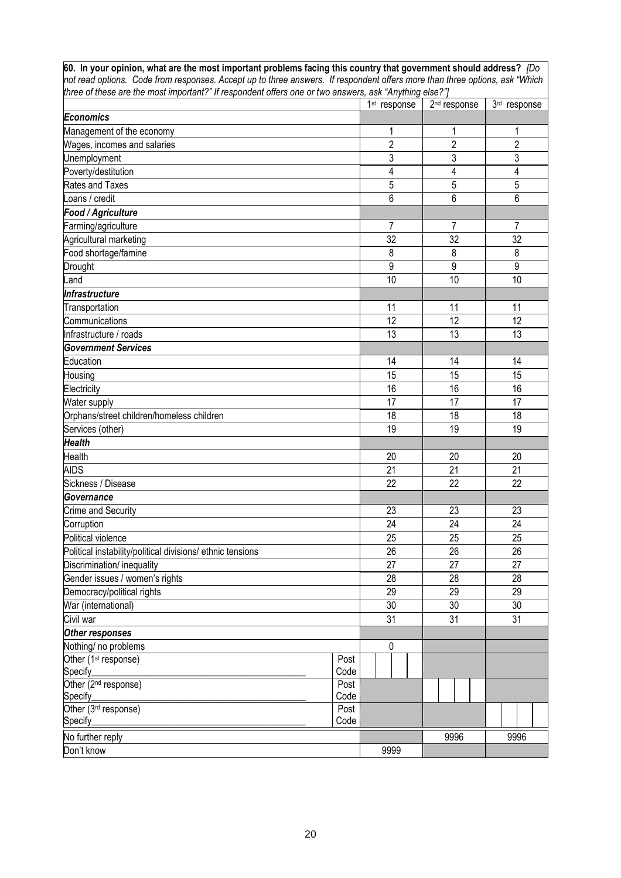**60. In your opinion, what are the most important problems facing this country that government should address?** *[Do not read options. Code from responses. Accept up to three answers. If respondent offers more than three options, ask "Which three of these are the most important?" If respondent offers one or two answers, ask "Anything else?"]*

|                                                            |      | 1 <sup>st</sup> response | 2 <sup>nd</sup> response | 3rd response   |
|------------------------------------------------------------|------|--------------------------|--------------------------|----------------|
| <b>Economics</b>                                           |      |                          |                          |                |
| Management of the economy                                  |      | 1                        | 1                        | 1              |
| Wages, incomes and salaries                                |      | $\overline{c}$           | $\overline{2}$           | $\overline{2}$ |
| Unemployment                                               |      | 3                        | 3                        | 3              |
| Poverty/destitution                                        |      | 4                        | 4                        | 4              |
| <b>Rates and Taxes</b>                                     |      | 5                        | 5                        | 5              |
| Loans / credit                                             |      | 6                        | 6                        | 6              |
| Food / Agriculture                                         |      |                          |                          |                |
| Farming/agriculture                                        |      | 7                        | $\overline{7}$           | 7              |
| Agricultural marketing                                     |      | 32                       | 32                       | 32             |
| Food shortage/famine                                       |      | 8                        | 8                        | 8              |
| Drought                                                    |      | 9                        | 9                        | 9              |
| Land                                                       |      | 10                       | 10                       | 10             |
| Infrastructure                                             |      |                          |                          |                |
| Transportation                                             |      | 11                       | 11                       | 11             |
| Communications                                             |      | 12                       | 12                       | 12             |
| Infrastructure / roads                                     |      | 13                       | 13                       | 13             |
| Government Services                                        |      |                          |                          |                |
| Education                                                  |      | 14                       | 14                       | 14             |
| Housing                                                    |      | 15                       | 15                       | 15             |
| Electricity                                                |      | 16                       | 16                       | 16             |
| Water supply                                               |      | 17                       | 17                       | 17             |
| Orphans/street children/homeless children                  |      | 18                       | 18                       | 18             |
| Services (other)                                           |      | 19                       | 19                       | 19             |
| <b>Health</b>                                              |      |                          |                          |                |
| Health                                                     |      | 20                       | 20                       | 20             |
| <b>AIDS</b>                                                |      | 21                       | 21                       | 21             |
| Sickness / Disease                                         |      | 22                       | 22                       | 22             |
| Governance                                                 |      |                          |                          |                |
| Crime and Security                                         |      | 23                       | 23                       | 23             |
| Corruption                                                 |      | 24                       | 24                       | 24             |
| Political violence                                         |      | 25                       | 25                       | 25             |
| Political instability/political divisions/ ethnic tensions |      | 26                       | 26                       | 26             |
| Discrimination/ inequality                                 |      | 27                       | 27                       | 27             |
| Gender issues / women's rights                             |      | 28                       | 28                       | 28             |
| Democracy/political rights                                 |      | 29                       | 29                       | 29             |
| War (international)                                        |      | 30                       | 30                       | 30             |
| Civil war                                                  |      | 31                       | 31                       | 31             |
| Other responses                                            |      |                          |                          |                |
| Nothing/ no problems                                       |      | 0                        |                          |                |
| Other (1 <sup>st</sup> response)                           | Post |                          |                          |                |
| Specify_________                                           | Code |                          |                          |                |
| Other (2 <sup>nd</sup> response)                           | Post |                          |                          |                |
| Specify <sub>__________</sub>                              | Code |                          |                          |                |
| Other (3 <sup>rd</sup> response)                           | Post |                          |                          |                |
| Specify_                                                   | Code |                          |                          |                |
| No further reply                                           |      |                          | 9996                     | 9996           |
| Don't know                                                 |      | 9999                     |                          |                |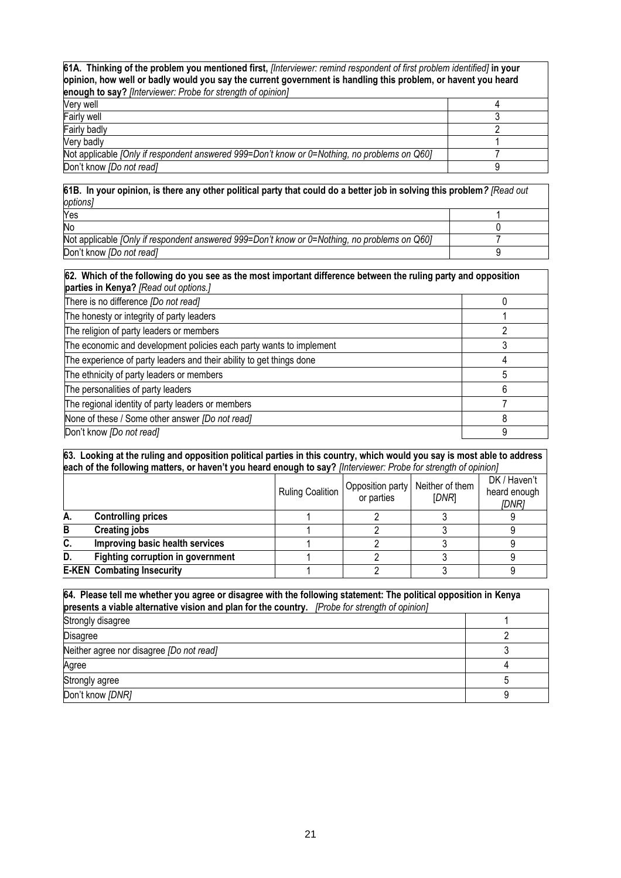**61A. Thinking of the problem you mentioned first,** *[Interviewer: remind respondent of first problem identified]* **in your opinion, how well or badly would you say the current government is handling this problem, or havent you heard enough to say?** *[Interviewer: Probe for strength of opinion]*

| Verv well                                                                                    |  |
|----------------------------------------------------------------------------------------------|--|
| <b>Fairly well</b>                                                                           |  |
| <b>Fairly badly</b>                                                                          |  |
| Very badly                                                                                   |  |
| Not applicable [Only if respondent answered 999=Don't know or 0=Nothing, no problems on Q60] |  |
| Don't know [Do not read]                                                                     |  |

**61B. In your opinion, is there any other political party that could do a better job in solving this problem***? [Read out options]* 

| Yes                                                                                          |  |
|----------------------------------------------------------------------------------------------|--|
| No                                                                                           |  |
| Not applicable [Only if respondent answered 999=Don't know or 0=Nothing, no problems on Q60] |  |
| Don't know <i>[Do not read]</i>                                                              |  |

| 62. Which of the following do you see as the most important difference between the ruling party and opposition<br>parties in Kenya? [Read out options.] |   |  |  |
|---------------------------------------------------------------------------------------------------------------------------------------------------------|---|--|--|
| There is no difference [Do not read]                                                                                                                    |   |  |  |
| The honesty or integrity of party leaders                                                                                                               |   |  |  |
| The religion of party leaders or members                                                                                                                |   |  |  |
| The economic and development policies each party wants to implement                                                                                     |   |  |  |
| The experience of party leaders and their ability to get things done                                                                                    |   |  |  |
| The ethnicity of party leaders or members                                                                                                               | 5 |  |  |
| The personalities of party leaders                                                                                                                      | 6 |  |  |
| The regional identity of party leaders or members                                                                                                       |   |  |  |
| None of these / Some other answer [Do not read]                                                                                                         | 8 |  |  |
| Don't know [Do not read]                                                                                                                                | 9 |  |  |

**63. Looking at the ruling and opposition political parties in this country, which would you say is most able to address each of the following matters, or haven't you heard enough to say?** *[Interviewer: Probe for strength of opinion]*

|    |                                          | <b>Ruling Coalition</b> | Opposition party<br>or parties | Neither of them<br>[DNR] | DK / Haven't<br>heard enough<br>[DNR] |
|----|------------------------------------------|-------------------------|--------------------------------|--------------------------|---------------------------------------|
| А. | <b>Controlling prices</b>                |                         |                                |                          |                                       |
| В  | <b>Creating jobs</b>                     |                         |                                |                          |                                       |
| C. | Improving basic health services          |                         |                                |                          |                                       |
| D. | <b>Fighting corruption in government</b> |                         |                                |                          |                                       |
|    | <b>E-KEN Combating Insecurity</b>        |                         |                                |                          |                                       |

| 64. Please tell me whether you agree or disagree with the following statement: The political opposition in Kenya<br>presents a viable alternative vision and plan for the country. [Probe for strength of opinion] |  |  |  |
|--------------------------------------------------------------------------------------------------------------------------------------------------------------------------------------------------------------------|--|--|--|
| Strongly disagree                                                                                                                                                                                                  |  |  |  |
| <b>Disagree</b>                                                                                                                                                                                                    |  |  |  |
| Neither agree nor disagree [Do not read]                                                                                                                                                                           |  |  |  |
| Agree                                                                                                                                                                                                              |  |  |  |
| Strongly agree                                                                                                                                                                                                     |  |  |  |
| Don't know [DNR]                                                                                                                                                                                                   |  |  |  |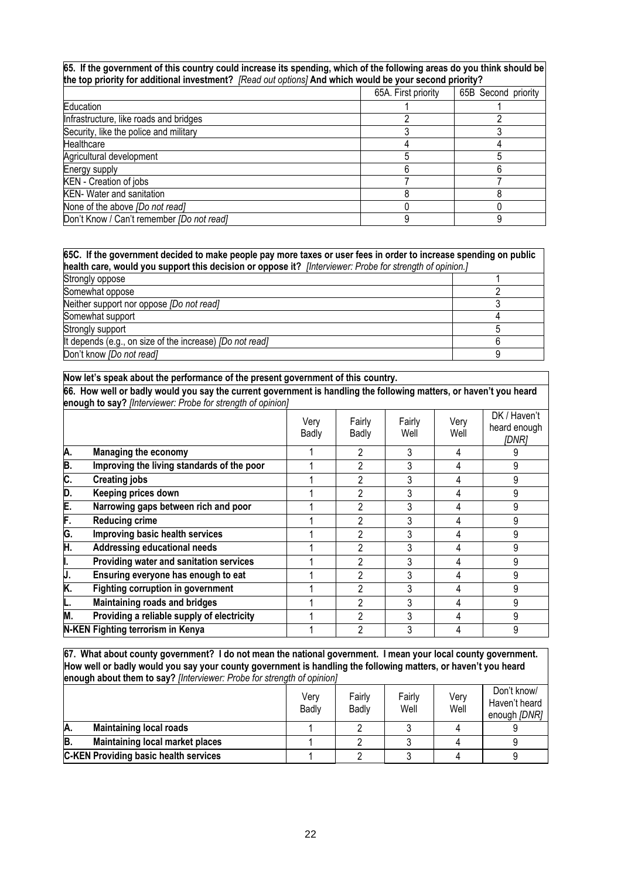#### **65. If the government of this country could increase its spending, which of the following areas do you think should be the top priority for additional investment?** *[Read out options]* **And which would be your second priority?**

| $\mu$ is top priority for additional investments. These can options friid which would be your second priority is |                     |                     |
|------------------------------------------------------------------------------------------------------------------|---------------------|---------------------|
|                                                                                                                  | 65A. First priority | 65B Second priority |
| Education                                                                                                        |                     |                     |
| Infrastructure, like roads and bridges                                                                           |                     |                     |
| Security, like the police and military                                                                           |                     |                     |
| Healthcare                                                                                                       |                     |                     |
| Agricultural development                                                                                         |                     |                     |
| Energy supply                                                                                                    |                     |                     |
| KEN - Creation of jobs                                                                                           |                     |                     |
| <b>KEN- Water and sanitation</b>                                                                                 |                     |                     |
| None of the above [Do not read]                                                                                  |                     |                     |
| Don't Know / Can't remember [Do not read]                                                                        |                     |                     |

#### **65C. If the government decided to make people pay more taxes or user fees in order to increase spending on public health care, would you support this decision or oppose it?** *[Interviewer: Probe for strength of opinion.]*

| <b>Product only from you ouppointing addition of oppose</b> in Third Honor. I love for ought of opinion. |  |  |  |  |  |
|----------------------------------------------------------------------------------------------------------|--|--|--|--|--|
| Strongly oppose                                                                                          |  |  |  |  |  |
| Somewhat oppose                                                                                          |  |  |  |  |  |
| Neither support nor oppose [Do not read]                                                                 |  |  |  |  |  |
| Somewhat support                                                                                         |  |  |  |  |  |
| Strongly support                                                                                         |  |  |  |  |  |
| It depends (e.g., on size of the increase) <i>[Do not read]</i>                                          |  |  |  |  |  |
| Don't know [Do not read]                                                                                 |  |  |  |  |  |

#### **Now let's speak about the performance of the present government of this country.**

**66. How well or badly would you say the current government is handling the following matters, or haven't you heard enough to say?** *[Interviewer: Probe for strength of opinion]*

|    |                                            | Verv<br>Badly | Fairly<br>Badly | Fairly<br>Well | Very<br>Well | DK / Haven't<br>heard enough<br>[DNR] |
|----|--------------------------------------------|---------------|-----------------|----------------|--------------|---------------------------------------|
| A. | Managing the economy                       |               |                 | 3              | 4            |                                       |
| В. | Improving the living standards of the poor |               | 2               | 3              | 4            | 9                                     |
| C. | <b>Creating jobs</b>                       |               | 2               | 3              |              | 9                                     |
| D. | Keeping prices down                        |               | 2               | 3              |              | 9                                     |
| E. | Narrowing gaps between rich and poor       |               | 2               | 3              | 4            | 9                                     |
| F. | <b>Reducing crime</b>                      |               | 2               | 3              | 4            | 9                                     |
| G. | Improving basic health services            |               | 2               | 3              | 4            | 9                                     |
| Η. | <b>Addressing educational needs</b>        |               | っ               | 3              | 4            | 9                                     |
|    | Providing water and sanitation services    |               | 2               | 3              | 4            | 9                                     |
| J. | Ensuring everyone has enough to eat        |               |                 | 3              |              | 9                                     |
| K. | <b>Fighting corruption in government</b>   |               | 2               | 3              | 4            | 9                                     |
|    | Maintaining roads and bridges              |               | 2               | 3              | 4            | 9                                     |
| M. | Providing a reliable supply of electricity |               | 2               | 3              | 4            | 9                                     |
|    | N-KEN Fighting terrorism in Kenya          |               | 2               | 3              |              | 9                                     |
|    |                                            |               |                 |                |              |                                       |

**67. What about county government? I do not mean the national government. I mean your local county government. How well or badly would you say your county government is handling the following matters, or haven't you heard enough about them to say?** *[Interviewer: Probe for strength of opinion]*

|    |                                              | Verv<br>Badly | Fairlv<br>Badly | Fairlv<br>Well | Verv<br>Well | Don't know/<br>Haven't heard<br>enough [DNR] |
|----|----------------------------------------------|---------------|-----------------|----------------|--------------|----------------------------------------------|
| A. | <b>Maintaining local roads</b>               |               |                 |                |              |                                              |
| B. | Maintaining local market places              |               |                 |                |              |                                              |
|    | <b>C-KEN Providing basic health services</b> |               |                 |                |              |                                              |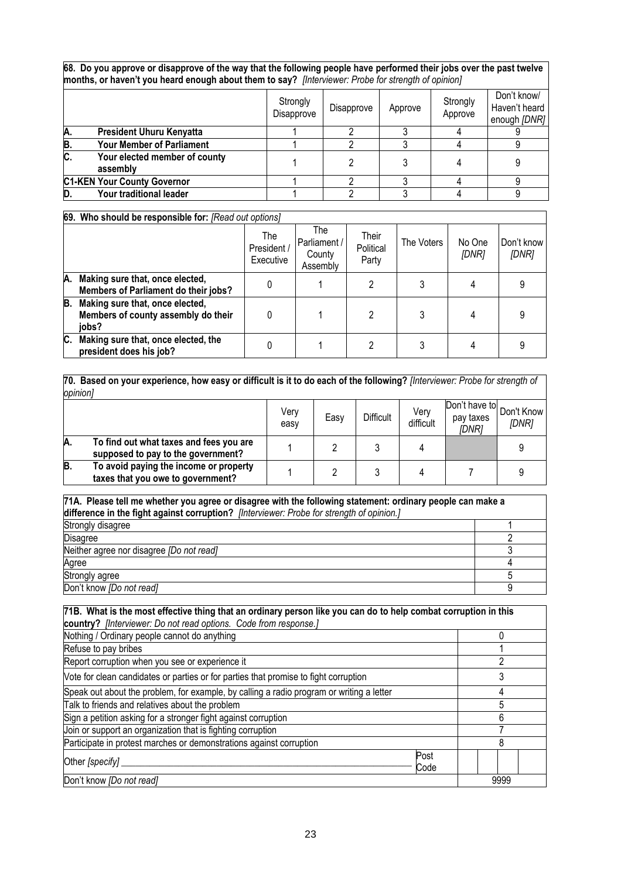**68. Do you approve or disapprove of the way that the following people have performed their jobs over the past twelve months, or haven't you heard enough about them to say?** *[Interviewer: Probe for strength of opinion]* 

|     |                                           | Strongly<br>Disapprove | Disapprove | Approve | Strongly<br>Approve | Don't know/<br>Haven't heard<br>enough [DNR] |  |  |
|-----|-------------------------------------------|------------------------|------------|---------|---------------------|----------------------------------------------|--|--|
| Α.  | <b>President Uhuru Kenyatta</b>           |                        |            |         |                     |                                              |  |  |
| B.  | <b>Your Member of Parliament</b>          |                        |            |         |                     |                                              |  |  |
| IC. | Your elected member of county<br>assembly |                        |            |         |                     |                                              |  |  |
|     | <b>C1-KEN Your County Governor</b>        |                        |            |         |                     |                                              |  |  |
| D.  | Your traditional leader                   |                        |            |         |                     |                                              |  |  |

|    | 69. Who should be responsible for: [Read out options]                           |                               |                                           |                             |            |                 |                     |
|----|---------------------------------------------------------------------------------|-------------------------------|-------------------------------------------|-----------------------------|------------|-----------------|---------------------|
|    |                                                                                 | The<br>President<br>Executive | The<br>Parliament /<br>County<br>Assembly | Their<br>Political<br>Party | The Voters | No One<br>[DNR] | Don't know<br>[DNR] |
| А. | Making sure that, once elected,<br>Members of Parliament do their jobs?         |                               |                                           |                             |            |                 |                     |
| B. | Making sure that, once elected,<br>Members of county assembly do their<br>iobs? |                               |                                           |                             |            | 4               |                     |
| C. | Making sure that, once elected, the<br>president does his job?                  |                               |                                           |                             |            |                 |                     |

**70. Based on your experience, how easy or difficult is it to do each of the following?** *[Interviewer: Probe for strength of opinion]*

|    | $\nu$                                                                         |              |      |                  |                   |                                                |       |  |  |
|----|-------------------------------------------------------------------------------|--------------|------|------------------|-------------------|------------------------------------------------|-------|--|--|
|    |                                                                               | Very<br>easy | Easy | <b>Difficult</b> | Very<br>difficult | Don't have to Don't Know<br>pay taxes<br>IDNR1 | [DNR] |  |  |
| A. | To find out what taxes and fees you are<br>supposed to pay to the government? |              |      |                  |                   |                                                |       |  |  |
| B. | To avoid paying the income or property<br>taxes that you owe to government?   |              |      |                  |                   |                                                |       |  |  |

| 71A. Please tell me whether you agree or disagree with the following statement: ordinary people can make a<br>difference in the fight against corruption? [Interviewer: Probe for strength of opinion.] |  |  |  |  |
|---------------------------------------------------------------------------------------------------------------------------------------------------------------------------------------------------------|--|--|--|--|
| Strongly disagree                                                                                                                                                                                       |  |  |  |  |
| Disagree                                                                                                                                                                                                |  |  |  |  |
| Neither agree nor disagree [Do not read]                                                                                                                                                                |  |  |  |  |
| Agree                                                                                                                                                                                                   |  |  |  |  |
| Strongly agree                                                                                                                                                                                          |  |  |  |  |
| Don't know [Do not read]                                                                                                                                                                                |  |  |  |  |

| 71B. What is the most effective thing that an ordinary person like you can do to help combat corruption in this |      |  |  |  |  |  |
|-----------------------------------------------------------------------------------------------------------------|------|--|--|--|--|--|
| country? [Interviewer: Do not read options. Code from response.]                                                |      |  |  |  |  |  |
| Nothing / Ordinary people cannot do anything                                                                    |      |  |  |  |  |  |
| Refuse to pay bribes                                                                                            |      |  |  |  |  |  |
| Report corruption when you see or experience it                                                                 |      |  |  |  |  |  |
| Vote for clean candidates or parties or for parties that promise to fight corruption                            |      |  |  |  |  |  |
| Speak out about the problem, for example, by calling a radio program or writing a letter                        |      |  |  |  |  |  |
| Talk to friends and relatives about the problem                                                                 | 5    |  |  |  |  |  |
| Sign a petition asking for a stronger fight against corruption                                                  |      |  |  |  |  |  |
| Join or support an organization that is fighting corruption                                                     |      |  |  |  |  |  |
| Participate in protest marches or demonstrations against corruption                                             |      |  |  |  |  |  |
| Post<br>Other [specify]<br>Code                                                                                 |      |  |  |  |  |  |
| Don't know [Do not read]                                                                                        | 9999 |  |  |  |  |  |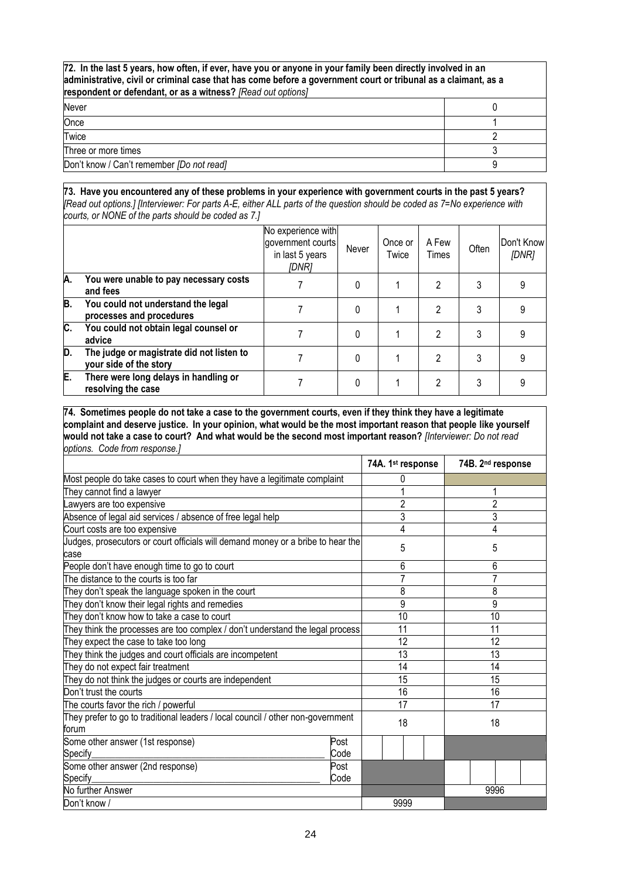| 72. In the last 5 years, how often, if ever, have you or anyone in your family been directly involved in an<br>administrative, civil or criminal case that has come before a government court or tribunal as a claimant, as a<br>respondent or defendant, or as a witness? [Read out options] |  |  |  |  |
|-----------------------------------------------------------------------------------------------------------------------------------------------------------------------------------------------------------------------------------------------------------------------------------------------|--|--|--|--|
| Never                                                                                                                                                                                                                                                                                         |  |  |  |  |
| Once                                                                                                                                                                                                                                                                                          |  |  |  |  |
| Twice                                                                                                                                                                                                                                                                                         |  |  |  |  |
| Three or more times                                                                                                                                                                                                                                                                           |  |  |  |  |
| Don't know / Can't remember [Do not read]                                                                                                                                                                                                                                                     |  |  |  |  |

#### **73. Have you encountered any of these problems in your experience with government courts in the past 5 years?**  *[Read out options.] [Interviewer: For parts A-E, either ALL parts of the question should be coded as 7=No experience with courts, or NONE of the parts should be coded as 7.]*

|    |                                                                     | No experience with<br>government courts<br>in last 5 years<br><i><b>IDNR1</b></i> | Never    | Once or<br>Twice | A Few<br>Times | Often | Don't Know<br>[DNR] |
|----|---------------------------------------------------------------------|-----------------------------------------------------------------------------------|----------|------------------|----------------|-------|---------------------|
| A. | You were unable to pay necessary costs<br>and fees                  |                                                                                   | 0        |                  | 2              | 3     |                     |
| B. | You could not understand the legal<br>processes and procedures      |                                                                                   | 0        |                  | 2              | 3     |                     |
| C. | You could not obtain legal counsel or<br>advice                     |                                                                                   | 0        |                  | 2              | 3     |                     |
| D. | The judge or magistrate did not listen to<br>your side of the story |                                                                                   | $\Omega$ |                  | 2              | 3     |                     |
| E. | There were long delays in handling or<br>resolving the case         |                                                                                   | 0        |                  | 2              | 3     |                     |

**74. Sometimes people do not take a case to the government courts, even if they think they have a legitimate complaint and deserve justice. In your opinion, what would be the most important reason that people like yourself would not take a case to court? And what would be the second most important reason?** *[Interviewer: Do not read options. Code from response.]*

|                                                                                          | 74A. 1st response | 74B. 2 <sup>nd</sup> response |
|------------------------------------------------------------------------------------------|-------------------|-------------------------------|
| Most people do take cases to court when they have a legitimate complaint                 | $\Omega$          |                               |
| They cannot find a lawyer                                                                |                   |                               |
| Lawyers are too expensive                                                                | $\overline{2}$    | 2                             |
| Absence of legal aid services / absence of free legal help                               | 3                 | 3                             |
| Court costs are too expensive                                                            | 4                 | 4                             |
| Judges, prosecutors or court officials will demand money or a bribe to hear the<br>case  | 5                 | 5                             |
| People don't have enough time to go to court                                             | 6                 | 6                             |
| The distance to the courts is too far                                                    | 7                 |                               |
| They don't speak the language spoken in the court                                        | 8                 | 8                             |
| They don't know their legal rights and remedies                                          | 9                 | 9                             |
| They don't know how to take a case to court                                              | 10                | 10                            |
| They think the processes are too complex / don't understand the legal process            | 11                | 11                            |
| They expect the case to take too long                                                    | 12                | 12                            |
| They think the judges and court officials are incompetent                                | 13                | 13                            |
| They do not expect fair treatment                                                        | 14                | 14                            |
| They do not think the judges or courts are independent                                   | 15                | 15                            |
| Don't trust the courts                                                                   | 16                | 16                            |
| The courts favor the rich / powerful                                                     | 17                | 17                            |
| They prefer to go to traditional leaders / local council / other non-government<br>forum | 18                | 18                            |
| Some other answer (1st response)<br>Post                                                 |                   |                               |
| Specify<br>Code                                                                          |                   |                               |
| Some other answer (2nd response)<br>Post                                                 |                   |                               |
| Specify<br>Code                                                                          |                   |                               |
| No further Answer                                                                        |                   | 9996                          |
| Don't know /                                                                             | 9999              |                               |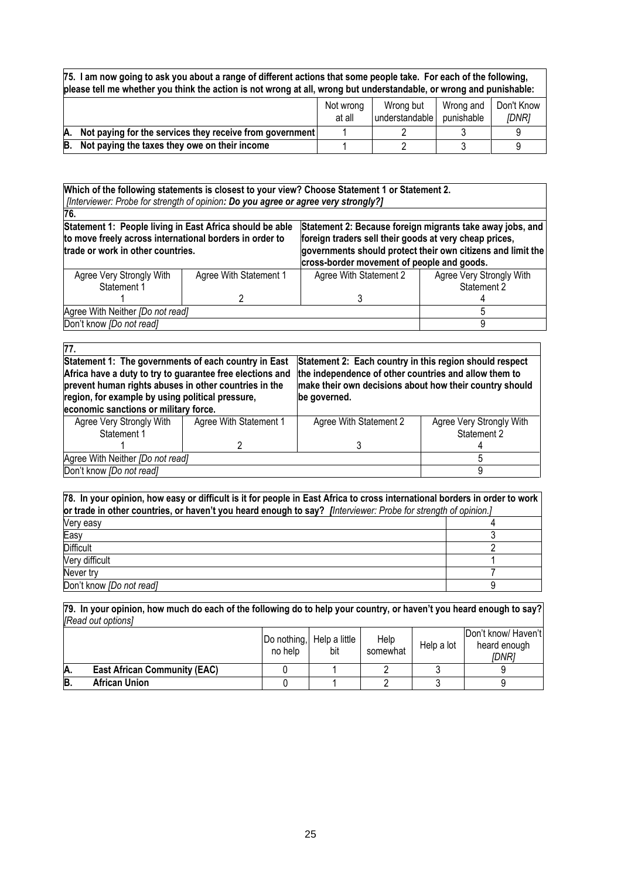**75. I am now going to ask you about a range of different actions that some people take. For each of the following, please tell me whether you think the action is not wrong at all, wrong but understandable, or wrong and punishable:** 

|    |                                                          | Not wrong<br>at all | Wrong but<br>understandable | Wrong and<br>punishable | Don't Know<br><i><b>IDNRI</b></i> |
|----|----------------------------------------------------------|---------------------|-----------------------------|-------------------------|-----------------------------------|
| A. | Not paying for the services they receive from government |                     |                             |                         |                                   |
| B. | Not paying the taxes they owe on their income            |                     |                             |                         |                                   |

**Which of the following statements is closest to your view? Choose Statement 1 or Statement 2.** *[Interviewer: Probe for strength of opinion: Do you agree or agree very strongly?]*

| 76.                                                                                                                                                      |                        |                                                                                                                                                                                                                                  |                          |  |
|----------------------------------------------------------------------------------------------------------------------------------------------------------|------------------------|----------------------------------------------------------------------------------------------------------------------------------------------------------------------------------------------------------------------------------|--------------------------|--|
| Statement 1: People living in East Africa should be able<br>to move freely across international borders in order to<br>trade or work in other countries. |                        | Statement 2: Because foreign migrants take away jobs, and<br>foreign traders sell their goods at very cheap prices,<br>governments should protect their own citizens and limit the<br>cross-border movement of people and goods. |                          |  |
| Agree Very Strongly With                                                                                                                                 | Agree With Statement 1 | Agree With Statement 2                                                                                                                                                                                                           | Agree Very Strongly With |  |
| Statement 1                                                                                                                                              |                        |                                                                                                                                                                                                                                  | Statement 2              |  |
|                                                                                                                                                          |                        |                                                                                                                                                                                                                                  |                          |  |
| Agree With Neither [Do not read]                                                                                                                         |                        |                                                                                                                                                                                                                                  |                          |  |
| Don't know [Do not read]                                                                                                                                 |                        |                                                                                                                                                                                                                                  |                          |  |

| $\overline{77}$ .                                         |                        |                                                         |                          |  |
|-----------------------------------------------------------|------------------------|---------------------------------------------------------|--------------------------|--|
| Statement 1: The governments of each country in East      |                        | Statement 2: Each country in this region should respect |                          |  |
| Africa have a duty to try to guarantee free elections and |                        | the independence of other countries and allow them to   |                          |  |
| prevent human rights abuses in other countries in the     |                        | make their own decisions about how their country should |                          |  |
| region, for example by using political pressure,          |                        | be governed.                                            |                          |  |
| economic sanctions or military force.                     |                        |                                                         |                          |  |
| Agree Very Strongly With                                  | Agree With Statement 1 | Agree With Statement 2                                  | Agree Very Strongly With |  |
| Statement 1                                               |                        |                                                         | Statement 2              |  |
|                                                           |                        |                                                         |                          |  |
| Agree With Neither [Do not read]                          |                        |                                                         |                          |  |
| Don't know [Do not read]                                  |                        |                                                         |                          |  |

| 78. In your opinion, how easy or difficult is it for people in East Africa to cross international borders in order to work<br>or trade in other countries, or haven't you heard enough to say? [Interviewer: Probe for strength of opinion.] |  |  |
|----------------------------------------------------------------------------------------------------------------------------------------------------------------------------------------------------------------------------------------------|--|--|
| Very easy                                                                                                                                                                                                                                    |  |  |
| Easy                                                                                                                                                                                                                                         |  |  |
| <b>Difficult</b>                                                                                                                                                                                                                             |  |  |
| Very difficult                                                                                                                                                                                                                               |  |  |
| Never try                                                                                                                                                                                                                                    |  |  |
| Don't know [Do not read]                                                                                                                                                                                                                     |  |  |

**79. In your opinion, how much do each of the following do to help your country, or haven't you heard enough to say?**  *[Read out options]*

|    |                                     | no help | Do nothing, Help a little<br>bit | Help<br>somewhat | Help a lot | Don't know/ Haven't<br>heard enough<br>IDNR1 |
|----|-------------------------------------|---------|----------------------------------|------------------|------------|----------------------------------------------|
| A. | <b>East African Community (EAC)</b> |         |                                  |                  |            |                                              |
| B. | <b>African Union</b>                |         |                                  |                  |            |                                              |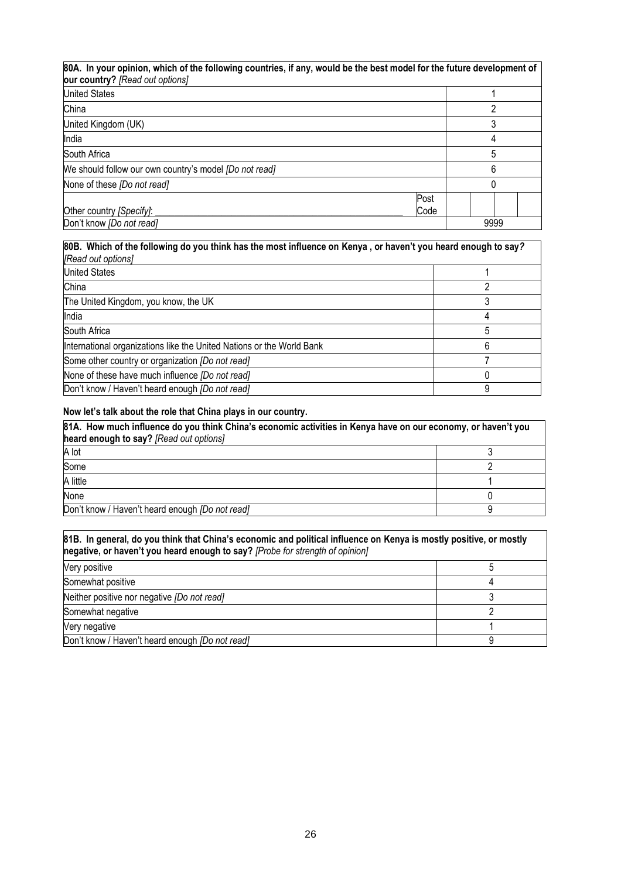| 80A. In your opinion, which of the following countries, if any, would be the best model for the future development of<br>our country? [Read out options] |              |      |
|----------------------------------------------------------------------------------------------------------------------------------------------------------|--------------|------|
| <b>United States</b>                                                                                                                                     |              |      |
| China                                                                                                                                                    |              |      |
| United Kingdom (UK)                                                                                                                                      |              |      |
| India                                                                                                                                                    |              |      |
| South Africa                                                                                                                                             |              | 5    |
| We should follow our own country's model <i>[Do not read]</i>                                                                                            |              | 6    |
| None of these [Do not read]                                                                                                                              |              |      |
| Other country [Specify]:                                                                                                                                 | Post<br>Code |      |
| Don't know [Do not read]                                                                                                                                 |              | 9999 |

| 80B. Which of the following do you think has the most influence on Kenya, or haven't you heard enough to say?<br>[Read out options] |   |  |
|-------------------------------------------------------------------------------------------------------------------------------------|---|--|
| <b>United States</b>                                                                                                                |   |  |
| China                                                                                                                               |   |  |
| The United Kingdom, you know, the UK                                                                                                |   |  |
| India                                                                                                                               |   |  |
| South Africa                                                                                                                        |   |  |
| International organizations like the United Nations or the World Bank                                                               |   |  |
| Some other country or organization <i>[Do not read]</i>                                                                             |   |  |
| None of these have much influence <i>[Do not read]</i>                                                                              |   |  |
| Don't know / Haven't heard enough <i>[Do not read]</i>                                                                              | 9 |  |

# **Now let's talk about the role that China plays in our country.**

| 81A. How much influence do you think China's economic activities in Kenya have on our economy, or haven't you<br>heard enough to say? [Read out options] |  |  |
|----------------------------------------------------------------------------------------------------------------------------------------------------------|--|--|
| A lot                                                                                                                                                    |  |  |
| Some                                                                                                                                                     |  |  |
| A little                                                                                                                                                 |  |  |
| None                                                                                                                                                     |  |  |
| Don't know / Haven't heard enough <i>[Do not read]</i>                                                                                                   |  |  |

| 81B. In general, do you think that China's economic and political influence on Kenya is mostly positive, or mostly<br>negative, or haven't you heard enough to say? [Probe for strength of opinion] |  |  |
|-----------------------------------------------------------------------------------------------------------------------------------------------------------------------------------------------------|--|--|
| Very positive                                                                                                                                                                                       |  |  |
| Somewhat positive                                                                                                                                                                                   |  |  |
| Neither positive nor negative <i>[Do not read]</i>                                                                                                                                                  |  |  |
| Somewhat negative                                                                                                                                                                                   |  |  |
| Very negative                                                                                                                                                                                       |  |  |
| Don't know / Haven't heard enough <i>[Do not read]</i>                                                                                                                                              |  |  |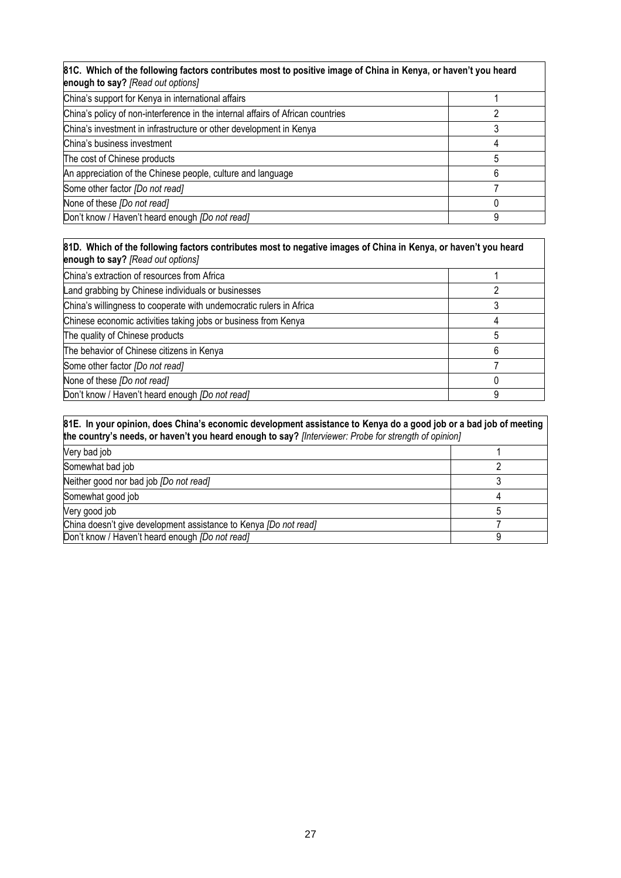| 81C. Which of the following factors contributes most to positive image of China in Kenya, or haven't you heard<br>enough to say? [Read out options] |   |  |
|-----------------------------------------------------------------------------------------------------------------------------------------------------|---|--|
| China's support for Kenya in international affairs                                                                                                  |   |  |
| China's policy of non-interference in the internal affairs of African countries                                                                     |   |  |
| China's investment in infrastructure or other development in Kenya                                                                                  |   |  |
| China's business investment                                                                                                                         | 4 |  |
| The cost of Chinese products                                                                                                                        | 5 |  |
| An appreciation of the Chinese people, culture and language                                                                                         | 6 |  |
| Some other factor [Do not read]                                                                                                                     |   |  |
| None of these [Do not read]                                                                                                                         |   |  |
| Don't know / Haven't heard enough <i>[Do not read]</i>                                                                                              | 9 |  |

| 81D. Which of the following factors contributes most to negative images of China in Kenya, or haven't you heard<br>enough to say? [Read out options] |   |  |
|------------------------------------------------------------------------------------------------------------------------------------------------------|---|--|
| China's extraction of resources from Africa                                                                                                          |   |  |
| Land grabbing by Chinese individuals or businesses                                                                                                   |   |  |
| China's willingness to cooperate with undemocratic rulers in Africa                                                                                  |   |  |
| Chinese economic activities taking jobs or business from Kenya                                                                                       | 4 |  |
| The quality of Chinese products                                                                                                                      | 5 |  |
| The behavior of Chinese citizens in Kenya                                                                                                            | 6 |  |
| Some other factor [Do not read]                                                                                                                      |   |  |
| None of these [Do not read]                                                                                                                          |   |  |
| Don't know / Haven't heard enough <i>[Do not read]</i>                                                                                               | 9 |  |

| 81E. In your opinion, does China's economic development assistance to Kenya do a good job or a bad job of meeting<br>the country's needs, or haven't you heard enough to say? [Interviewer: Probe for strength of opinion] |  |  |
|----------------------------------------------------------------------------------------------------------------------------------------------------------------------------------------------------------------------------|--|--|
| Very bad job                                                                                                                                                                                                               |  |  |
| Somewhat bad job                                                                                                                                                                                                           |  |  |
| Neither good nor bad job [Do not read]                                                                                                                                                                                     |  |  |
| Somewhat good job                                                                                                                                                                                                          |  |  |
| Very good job                                                                                                                                                                                                              |  |  |
| China doesn't give development assistance to Kenya <i>[Do not read]</i>                                                                                                                                                    |  |  |
| Don't know / Haven't heard enough <i>[Do not read]</i>                                                                                                                                                                     |  |  |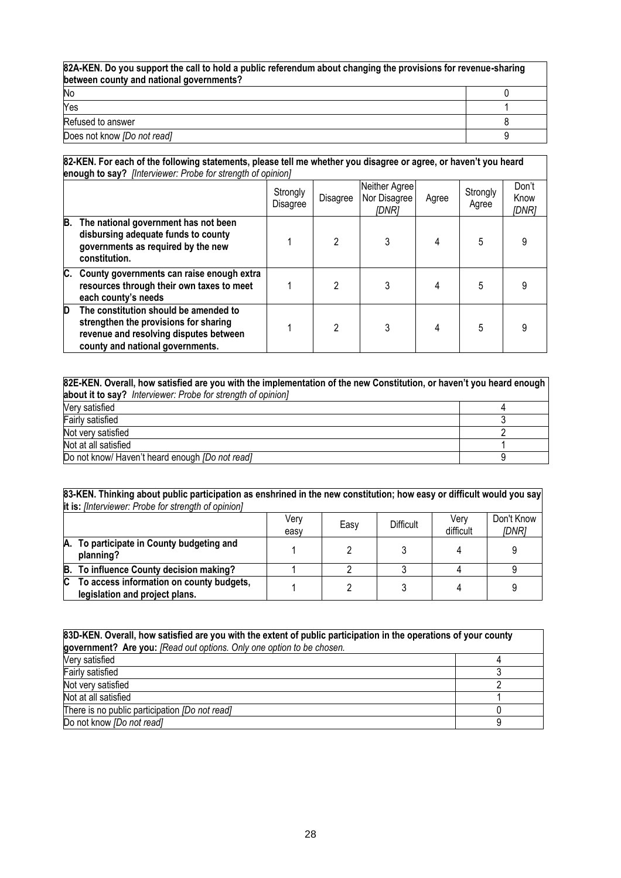| 82A-KEN. Do you support the call to hold a public referendum about changing the provisions for revenue-sharing<br>between county and national governments? |  |  |
|------------------------------------------------------------------------------------------------------------------------------------------------------------|--|--|
| No                                                                                                                                                         |  |  |
| Yes                                                                                                                                                        |  |  |
| Refused to answer                                                                                                                                          |  |  |
| Does not know [Do not read]                                                                                                                                |  |  |

#### **82-KEN. For each of the following statements, please tell me whether you disagree or agree, or haven't you heard enough to say?** *[Interviewer: Probe for strength of opinion]*

|    | <b>Under to Day</b> Finton nonon. Fropo for other gain or opinion,                                                                                           |                      |          |                                        |       |                   |                        |  |  |  |
|----|--------------------------------------------------------------------------------------------------------------------------------------------------------------|----------------------|----------|----------------------------------------|-------|-------------------|------------------------|--|--|--|
|    |                                                                                                                                                              | Strongly<br>Disagree | Disagree | Neither Agree<br>Nor Disagree<br>IDNR1 | Agree | Strongly<br>Agree | Don't<br>Know<br>[DNR] |  |  |  |
| B. | The national government has not been<br>disbursing adequate funds to county<br>governments as required by the new<br>constitution.                           |                      | າ        |                                        |       | 5                 |                        |  |  |  |
| C. | County governments can raise enough extra<br>resources through their own taxes to meet<br>each county's needs                                                |                      |          | 3                                      |       | 5                 |                        |  |  |  |
| D  | The constitution should be amended to<br>strengthen the provisions for sharing<br>revenue and resolving disputes between<br>county and national governments. |                      | っ        | 3                                      | 4     | 5                 |                        |  |  |  |

| 82E-KEN. Overall, how satisfied are you with the implementation of the new Constitution, or haven't you heard enough |  |  |  |  |
|----------------------------------------------------------------------------------------------------------------------|--|--|--|--|
| about it to say? Interviewer: Probe for strength of opinion]                                                         |  |  |  |  |
| Very satisfied                                                                                                       |  |  |  |  |
| Fairly satisfied                                                                                                     |  |  |  |  |
| Not very satisfied                                                                                                   |  |  |  |  |
| Not at all satisfied                                                                                                 |  |  |  |  |
| Do not know/ Haven't heard enough <i>[Do not read]</i>                                                               |  |  |  |  |

#### **83-KEN. Thinking about public participation as enshrined in the new constitution; how easy or difficult would you say it is:** *[Interviewer: Probe for strength of opinion]*

|     |                                                                            | Verv<br>easy | Easy | Difficult | Verv<br>difficult | Don't Know<br>[DNR] |
|-----|----------------------------------------------------------------------------|--------------|------|-----------|-------------------|---------------------|
|     | A. To participate in County budgeting and<br>planning?                     |              |      |           |                   |                     |
|     | B. To influence County decision making?                                    |              |      |           |                   |                     |
| IC. | To access information on county budgets,<br>legislation and project plans. |              |      |           |                   |                     |

| 83D-KEN. Overall, how satisfied are you with the extent of public participation in the operations of your county |  |  |  |  |
|------------------------------------------------------------------------------------------------------------------|--|--|--|--|
| government? Are you: [Read out options. Only one option to be chosen.                                            |  |  |  |  |
| Very satisfied                                                                                                   |  |  |  |  |
| Fairly satisfied                                                                                                 |  |  |  |  |
| Not very satisfied                                                                                               |  |  |  |  |
| Not at all satisfied                                                                                             |  |  |  |  |
| There is no public participation [Do not read]                                                                   |  |  |  |  |
| Do not know [Do not read]                                                                                        |  |  |  |  |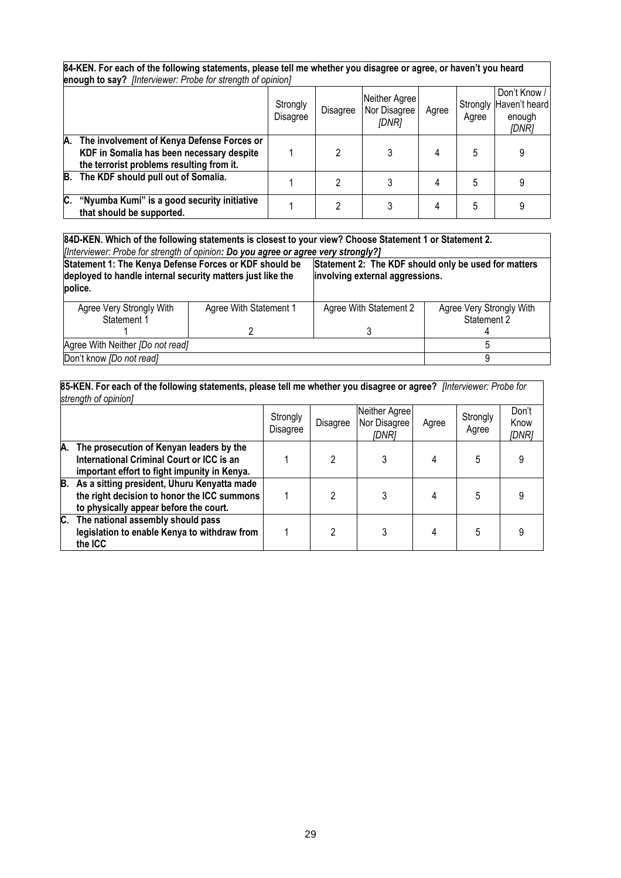| 84-KEN. For each of the following statements, please tell me whether you disagree or agree, or haven't you heard<br>enough to say? [Interviewer: Probe for strength of opinion] |                      |          |                                        |       |                   |                                                  |  |  |  |
|---------------------------------------------------------------------------------------------------------------------------------------------------------------------------------|----------------------|----------|----------------------------------------|-------|-------------------|--------------------------------------------------|--|--|--|
|                                                                                                                                                                                 | Strongly<br>Disagree | Disagree | Neither Agree<br>Nor Disagree<br>[DNR] | Agree | Strongly<br>Agree | Don't Know /<br>Haven't heard<br>enough<br>[DNR] |  |  |  |
| A.<br>The involvement of Kenya Defense Forces or<br>KDF in Somalia has been necessary despite<br>the terrorist problems resulting from it.                                      |                      | 2        |                                        | 4     | 5                 | 9                                                |  |  |  |
| The KDF should pull out of Somalia.<br>B.                                                                                                                                       |                      | 2        | 3                                      | 4     | 5                 |                                                  |  |  |  |
| C.<br>"Nyumba Kumi" is a good security initiative<br>that should be supported.                                                                                                  |                      | 2        |                                        | 4     | 5                 |                                                  |  |  |  |

**84D-KEN. Which of the following statements is closest to your view? Choose Statement 1 or Statement 2.**

*[Interviewer: Probe for strength of opinion: Do you agree or agree very strongly?]* **Statement 1: The Kenya Defense Forces or KDF should be deployed to handle internal security matters just like the police. Statement 2: The KDF should only be used for matters involving external aggressions.** Agree Very Strongly With Statement 1 1 Agree With Statement 1 2 Agree With Statement 2 3 Agree Very Strongly With Statement 2 4 Agree With Neither *[Do not read]* 5 Don't know *[Do not read]* 9

**85-KEN. For each of the following statements, please tell me whether you disagree or agree?** *[Interviewer: Probe for strength of opinion]* 

|    |                                                                                                                                         | Strongly<br>Disagree | Disagree | Neither Agree<br>Nor Disagree<br>[DNR] | Agree | Strongly<br>Agree | Don't<br>Know<br>[DNR] |
|----|-----------------------------------------------------------------------------------------------------------------------------------------|----------------------|----------|----------------------------------------|-------|-------------------|------------------------|
| A. | The prosecution of Kenyan leaders by the<br>International Criminal Court or ICC is an<br>important effort to fight impunity in Kenya.   |                      |          | 3                                      |       | 5                 | 9                      |
|    | B. As a sitting president, Uhuru Kenyatta made<br>the right decision to honor the ICC summons<br>to physically appear before the court. |                      |          | 3                                      |       | 5                 |                        |
| C. | The national assembly should pass<br>legislation to enable Kenya to withdraw from<br>the ICC                                            |                      |          | 3                                      |       | 5                 | 9                      |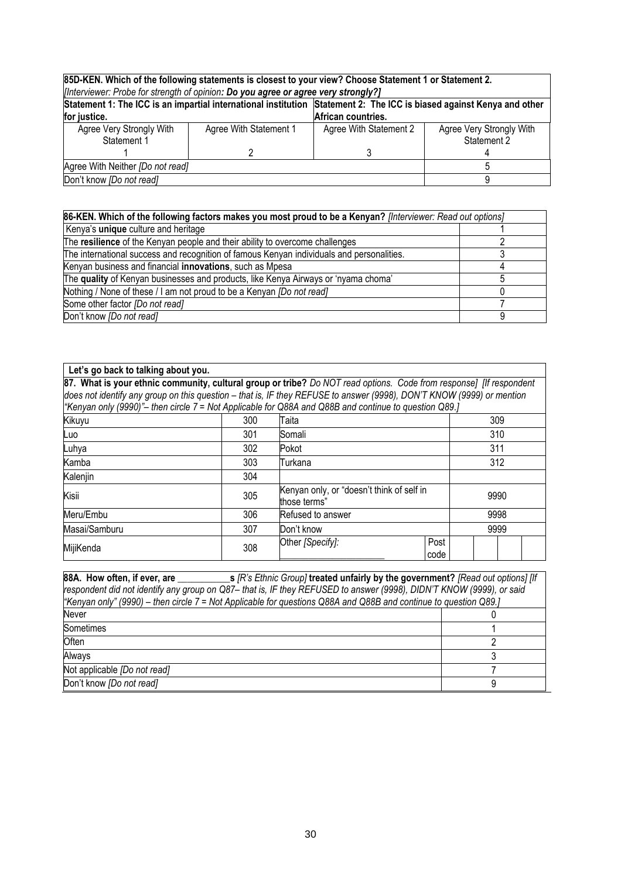| 85D-KEN. Which of the following statements is closest to your view? Choose Statement 1 or Statement 2.<br>[Interviewer: Probe for strength of opinion: Do you agree or agree very strongly?] |                        |                        |                          |  |  |  |  |  |
|----------------------------------------------------------------------------------------------------------------------------------------------------------------------------------------------|------------------------|------------------------|--------------------------|--|--|--|--|--|
|                                                                                                                                                                                              |                        |                        |                          |  |  |  |  |  |
| Statement 1: The ICC is an impartial international institution Statement 2: The ICC is biased against Kenya and other                                                                        |                        |                        |                          |  |  |  |  |  |
| for justice.                                                                                                                                                                                 |                        |                        |                          |  |  |  |  |  |
| Agree Very Strongly With                                                                                                                                                                     | Agree With Statement 1 | Agree With Statement 2 | Agree Very Strongly With |  |  |  |  |  |
| Statement 1                                                                                                                                                                                  |                        |                        | Statement 2              |  |  |  |  |  |
|                                                                                                                                                                                              |                        |                        |                          |  |  |  |  |  |
| Agree With Neither [Do not read]                                                                                                                                                             |                        |                        |                          |  |  |  |  |  |
| Don't know <i>[Do not read]</i>                                                                                                                                                              |                        |                        |                          |  |  |  |  |  |

| 86-KEN. Which of the following factors makes you most proud to be a Kenyan? [Interviewer: Read out options] |  |  |  |  |
|-------------------------------------------------------------------------------------------------------------|--|--|--|--|
| Kenya's unique culture and heritage                                                                         |  |  |  |  |
| The resilience of the Kenyan people and their ability to overcome challenges                                |  |  |  |  |
| The international success and recognition of famous Kenyan individuals and personalities.                   |  |  |  |  |
| Kenyan business and financial innovations, such as Mpesa                                                    |  |  |  |  |
| The quality of Kenyan businesses and products, like Kenya Airways or 'nyama choma'                          |  |  |  |  |
| Nothing / None of these / I am not proud to be a Kenyan <i>[Do not read]</i>                                |  |  |  |  |
| Some other factor [Do not read]                                                                             |  |  |  |  |
| Don't know [Do not read]                                                                                    |  |  |  |  |

| Let's go back to talking about you.                                                                                                                                                                                                          |                                                                          |                    |              |  |      |  |  |
|----------------------------------------------------------------------------------------------------------------------------------------------------------------------------------------------------------------------------------------------|--------------------------------------------------------------------------|--------------------|--------------|--|------|--|--|
| 87. What is your ethnic community, cultural group or tribe? Do NOT read options. Code from response] [If respondent<br>does not identify any group on this question – that is, IF they REFUSE to answer (9998), DON'T KNOW (9999) or mention |                                                                          |                    |              |  |      |  |  |
| "Kenyan only (9990)"- then circle 7 = Not Applicable for Q88A and Q88B and continue to question Q89.]                                                                                                                                        |                                                                          |                    |              |  |      |  |  |
| Kikuyu<br>Taita<br>309<br>300                                                                                                                                                                                                                |                                                                          |                    |              |  |      |  |  |
| Luo                                                                                                                                                                                                                                          | 301                                                                      | Somali             |              |  | 310  |  |  |
| 311<br>302<br>Pokot<br>Luhya                                                                                                                                                                                                                 |                                                                          |                    |              |  |      |  |  |
| Kamba                                                                                                                                                                                                                                        | 303                                                                      | 312<br>Turkana     |              |  |      |  |  |
| Kalenjin                                                                                                                                                                                                                                     | 304                                                                      |                    |              |  |      |  |  |
| Kisii                                                                                                                                                                                                                                        | Kenyan only, or "doesn't think of self in<br>305<br>9990<br>those terms" |                    |              |  |      |  |  |
| Meru/Embu                                                                                                                                                                                                                                    | 306                                                                      | Refused to answer  |              |  | 9998 |  |  |
| Masai/Samburu                                                                                                                                                                                                                                | 307                                                                      | 9999<br>Don't know |              |  |      |  |  |
| MijiKenda                                                                                                                                                                                                                                    | 308                                                                      | Other [Specify]:   | Post<br>code |  |      |  |  |

| respondent did not identify any group on Q87–that is, IF they REFUSED to answer (9998), DIDN'T KNOW (9999), or said |  |  |  |  |  |  |  |
|---------------------------------------------------------------------------------------------------------------------|--|--|--|--|--|--|--|
| "Kenyan only" (9990) – then circle 7 = Not Applicable for questions Q88A and Q88B and continue to question Q89.]    |  |  |  |  |  |  |  |
| Never                                                                                                               |  |  |  |  |  |  |  |
| Sometimes                                                                                                           |  |  |  |  |  |  |  |
| Often                                                                                                               |  |  |  |  |  |  |  |
| Always                                                                                                              |  |  |  |  |  |  |  |
| Not applicable <i>[Do not read]</i>                                                                                 |  |  |  |  |  |  |  |
| Don't know [Do not read]                                                                                            |  |  |  |  |  |  |  |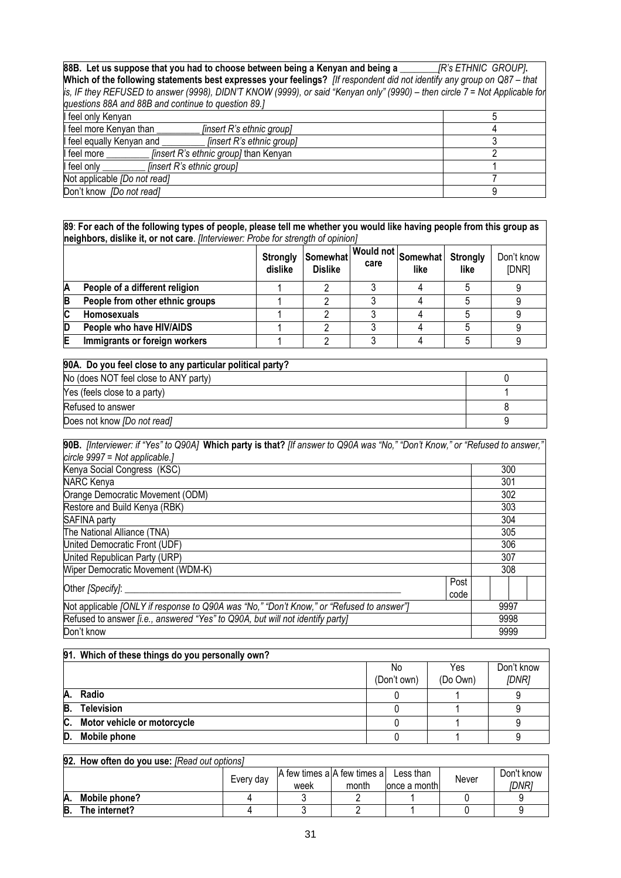**88B. Let us suppose that you had to choose between being a Kenyan and being a \_\_\_\_\_\_\_\_***[R's ETHNIC GROUP]***.**  Which of the following statements best expresses your feelings? [If respondent did not identify any group on Q87 - that *is, IF they REFUSED to answer (9998), DIDN'T KNOW (9999), or said "Kenyan only" (9990) – then circle 7 = Not Applicable for questions 88A and 88B and continue to question 89.]*

| feel only Kenyan                                          |  |
|-----------------------------------------------------------|--|
| feel more Kenyan than<br><i>linsert R's ethnic groupl</i> |  |
| feel equally Kenyan and<br>[insert R's ethnic group]      |  |
| feel more<br><i>finsert R's ethnic group]</i> than Kenyan |  |
| feel only<br><i>linsert R's ethnic groupl</i>             |  |
| Not applicable [Do not read]                              |  |
| Don't know [Do not read]                                  |  |

**89**: **For each of the following types of people, please tell me whether you would like having people from this group as neighbors, dislike it, or not care**. *[Interviewer: Probe for strength of opinion]*

|   |                                 | dislike | Strongly Somewhat<br><b>Dislike</b> | care | at   Would not   Somewhat   Strongly '<br>like | like | Don't know<br>[DNR] |
|---|---------------------------------|---------|-------------------------------------|------|------------------------------------------------|------|---------------------|
| Α | People of a different religion  |         |                                     |      |                                                |      |                     |
| В | People from other ethnic groups |         |                                     |      |                                                |      |                     |
| C | <b>Homosexuals</b>              |         |                                     |      |                                                |      |                     |
| D | People who have HIV/AIDS        |         |                                     |      |                                                |      |                     |
| E | Immigrants or foreign workers   |         |                                     |      |                                                |      |                     |

| 90A. Do you feel close to any particular political party? |  |
|-----------------------------------------------------------|--|
| No (does NOT feel close to ANY party)                     |  |
| Yes (feels close to a party)                              |  |
| Refused to answer                                         |  |
| Does not know [Do not read]                               |  |

| 90B. [Interviewer: if "Yes" to Q90A] Which party is that? [If answer to Q90A was "No," "Don't Know," or "Refused to answer," |              |      |  |
|------------------------------------------------------------------------------------------------------------------------------|--------------|------|--|
| circle 9997 = Not applicable.]                                                                                               |              |      |  |
| Kenya Social Congress (KSC)                                                                                                  |              | 300  |  |
| <b>NARC Kenya</b>                                                                                                            |              | 301  |  |
| Orange Democratic Movement (ODM)                                                                                             |              | 302  |  |
| Restore and Build Kenya (RBK)                                                                                                |              | 303  |  |
| SAFINA party                                                                                                                 |              | 304  |  |
| The National Alliance (TNA)                                                                                                  |              | 305  |  |
| United Democratic Front (UDF)                                                                                                |              | 306  |  |
| United Republican Party (URP)                                                                                                |              | 307  |  |
| <b>Wiper Democratic Movement (WDM-K)</b>                                                                                     |              | 308  |  |
| Other [Specify]: __                                                                                                          | Post<br>code |      |  |
| Not applicable <i>[ONLY if response to Q90A was "No," "Don't Know," or "Refused to answer"</i> ]                             |              | 9997 |  |
| Refused to answer <i>[i.e., answered "Yes" to Q90A, but will not identify party]</i>                                         |              | 9998 |  |
| Don't know                                                                                                                   |              | 9999 |  |

|    | 91. Which of these things do you personally own? |                   |                 |                     |
|----|--------------------------------------------------|-------------------|-----------------|---------------------|
|    |                                                  | No<br>(Don't own) | Yes<br>(Do Own) | Don't know<br>[DNR] |
| Α. | Radio                                            |                   |                 |                     |
| B. | <b>Television</b>                                |                   |                 |                     |
| C. | Motor vehicle or motorcycle                      |                   |                 |                     |
| D. | Mobile phone                                     |                   |                 |                     |

|     | 92. How often do you use: [Read out options]                                                     |  |  |  |  |  |                     |
|-----|--------------------------------------------------------------------------------------------------|--|--|--|--|--|---------------------|
|     | A few times a A few times a<br>Less than<br>Never<br>Every dav<br>lonce a month<br>month<br>week |  |  |  |  |  | Don't know<br>[DNR] |
| IA. | Mobile phone?                                                                                    |  |  |  |  |  |                     |
| B.  | The internet?                                                                                    |  |  |  |  |  |                     |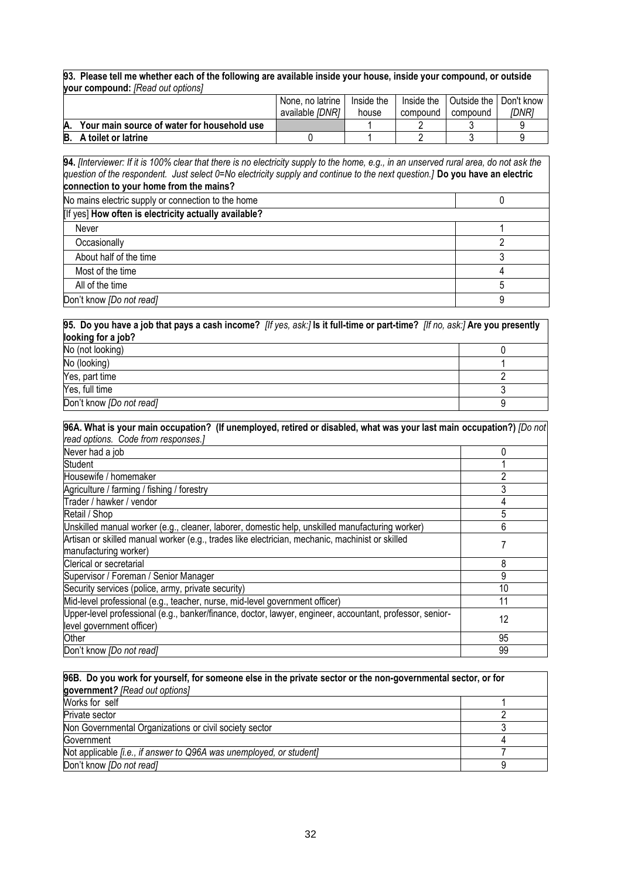**93. Please tell me whether each of the following are available inside your house, inside your compound, or outside your compound:** *[Read out options]*

|    |                                             |  |  | None, no latrine       | Inside the | Inside the | Outside the I | Don't know |
|----|---------------------------------------------|--|--|------------------------|------------|------------|---------------|------------|
|    |                                             |  |  | available <i>IDNRI</i> | house      | compound   | compound      | IDNR1      |
|    | Your main source of water for household use |  |  |                        |            |            |               |            |
| B. | A toilet or latrine                         |  |  |                        |            |            |               |            |

**94.** *[Interviewer: If it is 100% clear that there is no electricity supply to the home, e.g., in an unserved rural area, do not ask the question of the respondent. Just select 0=No electricity supply and continue to the next question.]* **Do you have an electric connection to your home from the mains?**

| No mains electric supply or connection to the home    |  |
|-------------------------------------------------------|--|
| [If yes] How often is electricity actually available? |  |
| Never                                                 |  |
| Occasionally                                          |  |
| About half of the time                                |  |
| Most of the time                                      |  |
| All of the time                                       |  |
| Don't know [Do not read]                              |  |

**95. Do you have a job that pays a cash income?** *[If yes, ask:]* **Is it full-time or part-time?** *[If no, ask:]* **Are you presently looking for a job?** No (not looking) and the contract of the contract of the contract of the contract of the contract of the contract of the contract of the contract of the contract of the contract of the contract of the contract of the contr No (looking) and the set of the set of the set of the set of the set of the set of the set of the set of the set of the set of the set of the set of the set of the set of the set of the set of the set of the set of the set Yes, part time 2  $Y$ es, full time  $\overline{3}$ Don't know *[Do not read]* 9

| 96A. What is your main occupation? (If unemployed, retired or disabled, what was your last main occupation?) [Do not |    |
|----------------------------------------------------------------------------------------------------------------------|----|
| read options. Code from responses.]                                                                                  |    |
| Never had a job                                                                                                      | 0  |
| Student                                                                                                              |    |
| Housewife / homemaker                                                                                                |    |
| Agriculture / farming / fishing / forestry                                                                           |    |
| Trader / hawker / vendor                                                                                             |    |
| Retail / Shop                                                                                                        | 5  |
| Unskilled manual worker (e.g., cleaner, laborer, domestic help, unskilled manufacturing worker)                      | 6  |
| Artisan or skilled manual worker (e.g., trades like electrician, mechanic, machinist or skilled                      |    |
| manufacturing worker)                                                                                                |    |
| Clerical or secretarial                                                                                              | 8  |
| Supervisor / Foreman / Senior Manager                                                                                | 9  |
| Security services (police, army, private security)                                                                   | 10 |
| Mid-level professional (e.g., teacher, nurse, mid-level government officer)                                          | 11 |
| Upper-level professional (e.g., banker/finance, doctor, lawyer, engineer, accountant, professor, senior-             | 12 |
| level government officer)                                                                                            |    |
| Other                                                                                                                | 95 |
| Don't know [Do not read]                                                                                             | 99 |

| 96B. Do you work for yourself, for someone else in the private sector or the non-governmental sector, or for |  |  |  |
|--------------------------------------------------------------------------------------------------------------|--|--|--|
| government? [Read out options]                                                                               |  |  |  |
| Works for self                                                                                               |  |  |  |
| Private sector                                                                                               |  |  |  |
| Non Governmental Organizations or civil society sector                                                       |  |  |  |
| Government                                                                                                   |  |  |  |
| Not applicable <i>[i.e., if answer to Q96A was unemployed, or student]</i>                                   |  |  |  |
| Don't know [Do not read]                                                                                     |  |  |  |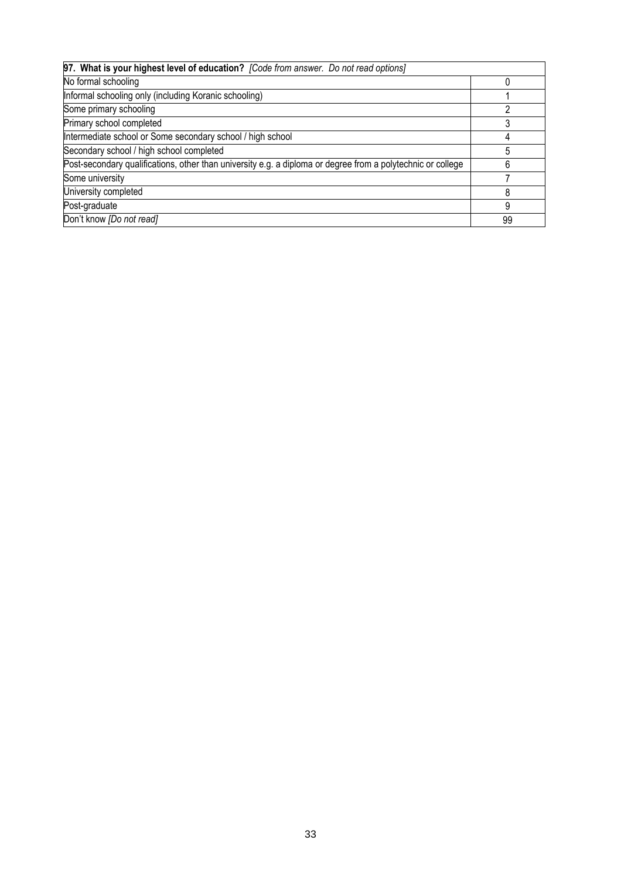| 97. What is your highest level of education? [Code from answer. Do not read options]                        |    |
|-------------------------------------------------------------------------------------------------------------|----|
| No formal schooling                                                                                         |    |
| Informal schooling only (including Koranic schooling)                                                       |    |
| Some primary schooling                                                                                      |    |
| Primary school completed                                                                                    |    |
| Intermediate school or Some secondary school / high school                                                  |    |
| Secondary school / high school completed                                                                    |    |
| Post-secondary qualifications, other than university e.g. a diploma or degree from a polytechnic or college |    |
| Some university                                                                                             |    |
| University completed                                                                                        |    |
| Post-graduate                                                                                               |    |
| Don't know [Do not read]                                                                                    | 99 |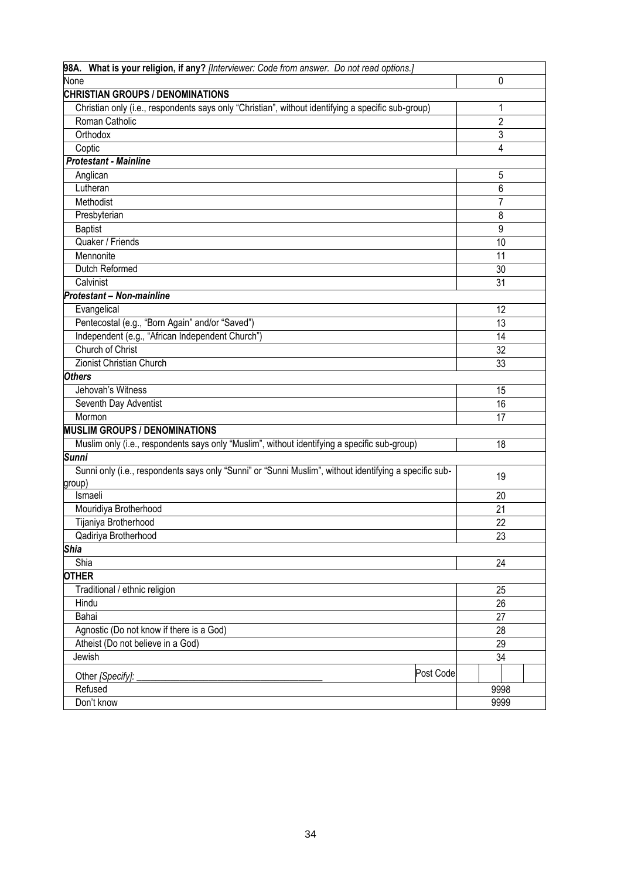| 98A. What is your religion, if any? [Interviewer: Code from answer. Do not read options.]              |                |
|--------------------------------------------------------------------------------------------------------|----------------|
| None                                                                                                   | 0              |
| <b>CHRISTIAN GROUPS / DENOMINATIONS</b>                                                                |                |
| Christian only (i.e., respondents says only "Christian", without identifying a specific sub-group)     | 1              |
| Roman Catholic                                                                                         | $\overline{2}$ |
| Orthodox                                                                                               | 3              |
| Coptic                                                                                                 | 4              |
| <b>Protestant - Mainline</b>                                                                           |                |
| Anglican                                                                                               | 5              |
| Lutheran                                                                                               | 6              |
| Methodist                                                                                              | 7              |
| Presbyterian                                                                                           | 8              |
| <b>Baptist</b>                                                                                         | 9              |
| Quaker / Friends                                                                                       | 10             |
| Mennonite                                                                                              | 11             |
| Dutch Reformed                                                                                         | 30             |
| Calvinist                                                                                              | 31             |
| Protestant - Non-mainline                                                                              |                |
| Evangelical                                                                                            | 12             |
| Pentecostal (e.g., "Born Again" and/or "Saved")                                                        | 13             |
| Independent (e.g., "African Independent Church")                                                       | 14             |
| Church of Christ                                                                                       | 32             |
| Zionist Christian Church                                                                               | 33             |
| <b>Others</b>                                                                                          |                |
| Jehovah's Witness                                                                                      | 15             |
| Seventh Day Adventist                                                                                  | 16             |
| Mormon                                                                                                 | 17             |
| <b>MUSLIM GROUPS / DENOMINATIONS</b>                                                                   |                |
| Muslim only (i.e., respondents says only "Muslim", without identifying a specific sub-group)           | 18             |
| <b>Sunni</b>                                                                                           |                |
| Sunni only (i.e., respondents says only "Sunni" or "Sunni Muslim", without identifying a specific sub- | 19             |
| group)                                                                                                 |                |
| Ismaeli                                                                                                | 20             |
| Mouridiya Brotherhood                                                                                  | 21             |
| Tijaniya Brotherhood                                                                                   | 22             |
| Qadiriya Brotherhood                                                                                   | 23             |
| <b>Shia</b>                                                                                            |                |
| Shia                                                                                                   | 24             |
| <b>OTHER</b>                                                                                           |                |
| Traditional / ethnic religion                                                                          | 25             |
| Hindu                                                                                                  | 26             |
| Bahai                                                                                                  | 27             |
| Agnostic (Do not know if there is a God)                                                               | 28             |
| Atheist (Do not believe in a God)                                                                      | 29             |
| Jewish                                                                                                 | 34             |
| Post Code<br>Other [Specify]:                                                                          |                |
| Refused                                                                                                | 9998           |
| Don't know                                                                                             | 9999           |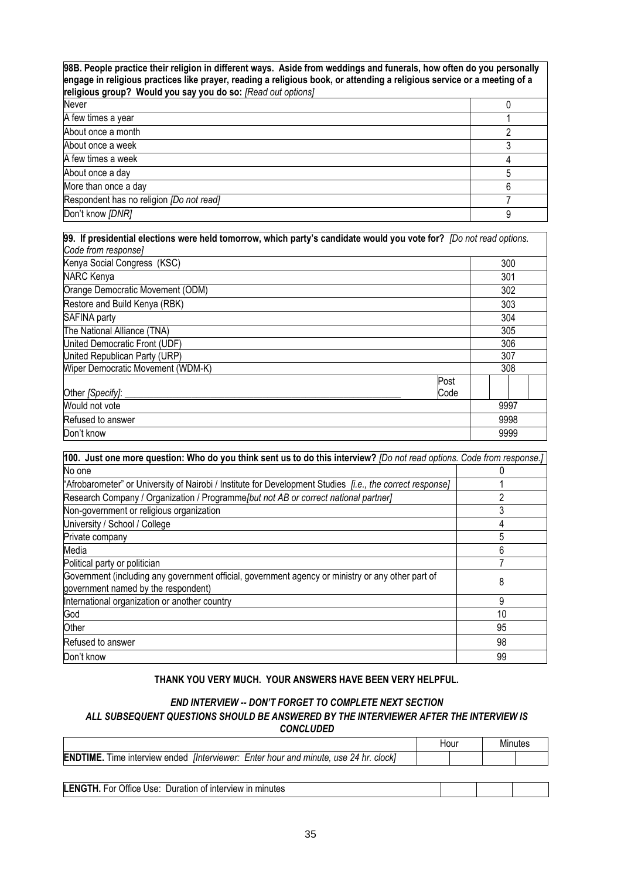**98B. People practice their religion in different ways. Aside from weddings and funerals, how often do you personally engage in religious practices like prayer, reading a religious book, or attending a religious service or a meeting of a religious group? Would you say you do so:** *[Read out options]* 

| Never                                    |  |
|------------------------------------------|--|
| A few times a year                       |  |
| About once a month                       |  |
| About once a week                        |  |
| A few times a week                       |  |
| About once a day                         |  |
| More than once a day                     |  |
| Respondent has no religion [Do not read] |  |
| Don't know [DNR]                         |  |

| 99. If presidential elections were held tomorrow, which party's candidate would you vote for? [Do not read options. |      |      |
|---------------------------------------------------------------------------------------------------------------------|------|------|
| Code from response]                                                                                                 |      |      |
| Kenya Social Congress (KSC)                                                                                         |      | 300  |
| NARC Kenya                                                                                                          |      | 301  |
| Orange Democratic Movement (ODM)                                                                                    |      | 302  |
| Restore and Build Kenya (RBK)                                                                                       |      | 303  |
| SAFINA party                                                                                                        |      | 304  |
| The National Alliance (TNA)                                                                                         |      | 305  |
| United Democratic Front (UDF)                                                                                       |      | 306  |
| United Republican Party (URP)                                                                                       |      | 307  |
| Wiper Democratic Movement (WDM-K)                                                                                   |      | 308  |
|                                                                                                                     | Post |      |
| Other [Specify]:                                                                                                    | Code |      |
| Would not vote                                                                                                      |      | 9997 |
| Refused to answer                                                                                                   |      | 9998 |
| Don't know                                                                                                          |      | 9999 |

| 100. Just one more question: Who do you think sent us to do this interview? [Do not read options. Code from response.]                   |    |
|------------------------------------------------------------------------------------------------------------------------------------------|----|
| No one                                                                                                                                   |    |
| "Afrobarometer" or University of Nairobi / Institute for Development Studies [i.e., the correct response]                                |    |
| Research Company / Organization / Programme[but not AB or correct national partner]                                                      | າ  |
| Non-government or religious organization                                                                                                 | 3  |
| University / School / College                                                                                                            |    |
| Private company                                                                                                                          | 5  |
| Media                                                                                                                                    | 6  |
| Political party or politician                                                                                                            |    |
| Government (including any government official, government agency or ministry or any other part of<br>government named by the respondent) | 8  |
| International organization or another country                                                                                            | 9  |
| God                                                                                                                                      | 10 |
| Other                                                                                                                                    | 95 |
| Refused to answer                                                                                                                        | 98 |
| Don't know                                                                                                                               | 99 |

## **THANK YOU VERY MUCH. YOUR ANSWERS HAVE BEEN VERY HELPFUL.**

## *END INTERVIEW -- DON'T FORGET TO COMPLETE NEXT SECTION*

#### *ALL SUBSEQUENT QUESTIONS SHOULD BE ANSWERED BY THE INTERVIEWER AFTER THE INTERVIEW IS CONCLUDED*

|                                                                                                    | Hour |  | Minutes |
|----------------------------------------------------------------------------------------------------|------|--|---------|
| <b>ENDTIME.</b> Time interview ended <i>[Interviewer: Enter hour and minute, use 24 hr. clock]</i> |      |  |         |
|                                                                                                    |      |  |         |
| <b>LENGTH.</b> For Office Use: Duration of interview in minutes                                    |      |  |         |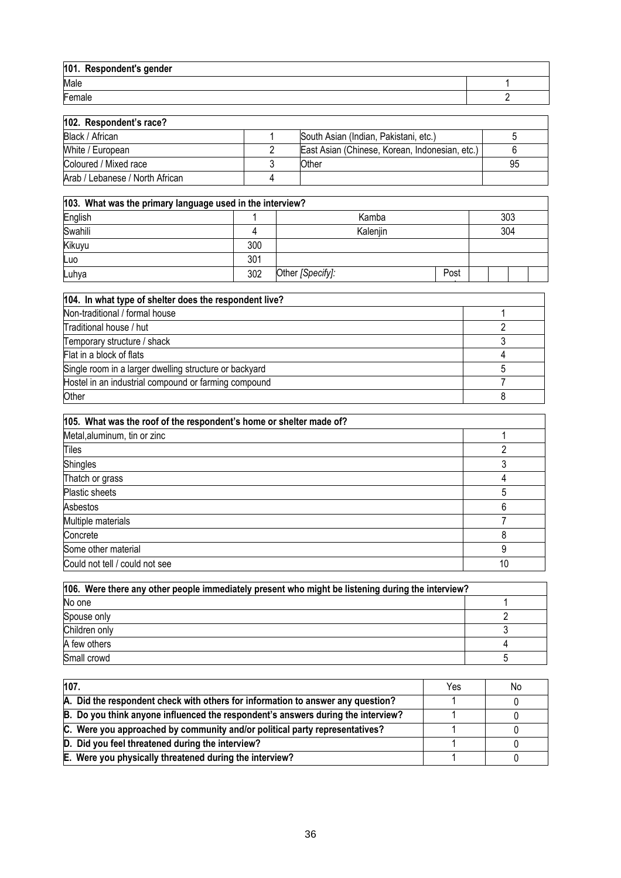| 101. Respondent's gender |  |
|--------------------------|--|
| Male                     |  |
| Female                   |  |

| 102. Respondent's race?         |                                                |    |
|---------------------------------|------------------------------------------------|----|
| Black / African                 | South Asian (Indian, Pakistani, etc.)          |    |
| White / European                | East Asian (Chinese, Korean, Indonesian, etc.) |    |
| Coloured / Mixed race           | Other                                          | 95 |
| Arab / Lebanese / North African |                                                |    |

| 103. What was the primary language used in the interview? |     |                  |      |  |     |  |
|-----------------------------------------------------------|-----|------------------|------|--|-----|--|
| English                                                   |     | Kamba            |      |  | 303 |  |
| Swahili                                                   |     | Kalenjin         |      |  | 304 |  |
| Kikuyu                                                    | 300 |                  |      |  |     |  |
| Luo                                                       | 301 |                  |      |  |     |  |
| Luhya                                                     | 302 | Other [Specify]: | Post |  |     |  |
|                                                           |     |                  |      |  |     |  |

| 104. In what type of shelter does the respondent live? |  |
|--------------------------------------------------------|--|
| Non-traditional / formal house                         |  |
| Traditional house / hut                                |  |
| Temporary structure / shack                            |  |
| Flat in a block of flats                               |  |
| Single room in a larger dwelling structure or backyard |  |
| Hostel in an industrial compound or farming compound   |  |
| Other                                                  |  |

| 105. What was the roof of the respondent's home or shelter made of? |    |
|---------------------------------------------------------------------|----|
| Metal, aluminum, tin or zinc                                        |    |
| Tiles                                                               |    |
| Shingles                                                            |    |
| Thatch or grass                                                     | Δ  |
| Plastic sheets                                                      |    |
| Asbestos                                                            | 6  |
| Multiple materials                                                  |    |
| Concrete                                                            | 8  |
| Some other material                                                 | q  |
| Could not tell / could not see                                      | 10 |

| 106. Were there any other people immediately present who might be listening during the interview? |  |  |
|---------------------------------------------------------------------------------------------------|--|--|
| No one                                                                                            |  |  |
| Spouse only                                                                                       |  |  |
| Children only                                                                                     |  |  |
| A few others                                                                                      |  |  |
| Small crowd                                                                                       |  |  |

| 107.                                                                             | Yes | No |
|----------------------------------------------------------------------------------|-----|----|
| A. Did the respondent check with others for information to answer any question?  |     |    |
| B. Do you think anyone influenced the respondent's answers during the interview? |     |    |
| C. Were you approached by community and/or political party representatives?      |     |    |
| D. Did you feel threatened during the interview?                                 |     |    |
| E. Were you physically threatened during the interview?                          |     |    |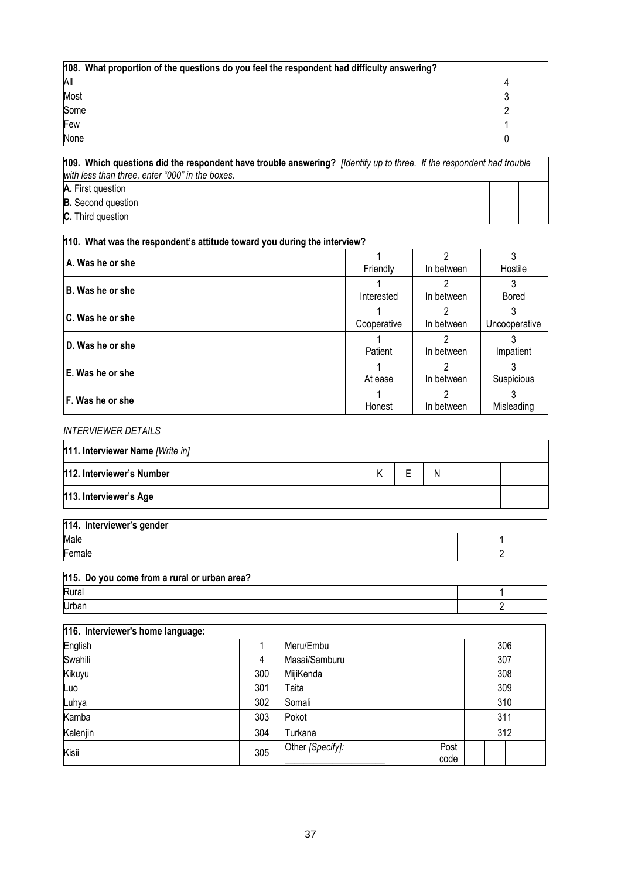| 108. What proportion of the questions do you feel the respondent had difficulty answering? |  |
|--------------------------------------------------------------------------------------------|--|
| All                                                                                        |  |
| Most                                                                                       |  |
| Some                                                                                       |  |
| Few                                                                                        |  |
| None                                                                                       |  |

| 109. Which questions did the respondent have trouble answering? [Identify up to three. If the respondent had trouble<br>with less than three, enter "000" in the boxes. |  |  |
|-------------------------------------------------------------------------------------------------------------------------------------------------------------------------|--|--|
| A. First question                                                                                                                                                       |  |  |
| <b>B.</b> Second question                                                                                                                                               |  |  |
| <b>C.</b> Third question                                                                                                                                                |  |  |

| 110. What was the respondent's attitude toward you during the interview? |             |                 |                    |  |  |
|--------------------------------------------------------------------------|-------------|-----------------|--------------------|--|--|
| A. Was he or she                                                         | Friendly    | 2<br>In between | 3<br>Hostile       |  |  |
| B. Was he or she                                                         | Interested  | 2<br>In between | 3<br>Bored         |  |  |
| C. Was he or she                                                         | Cooperative | In between      | 3<br>Uncooperative |  |  |
| D. Was he or she                                                         | Patient     | 2<br>In between | Impatient          |  |  |
| E. Was he or she                                                         | At ease     | 2<br>In between | 3<br>Suspicious    |  |  |
| F. Was he or she                                                         | Honest      | 2<br>In between | 3<br>Misleading    |  |  |

## *INTERVIEWER DETAILS*

| 111. Interviewer Name [Write in] |  |   |  |
|----------------------------------|--|---|--|
| 112. Interviewer's Number        |  | N |  |
| 113. Interviewer's Age           |  |   |  |

| 114. Interviewer's gender |  |
|---------------------------|--|
| Male                      |  |
| $E$ <sub>emale</sub>      |  |

| 115. Do you come from a rural or urban area? |  |  |
|----------------------------------------------|--|--|
| Rural                                        |  |  |
| Urban                                        |  |  |

| 116. Interviewer's home language: |     |                  |              |     |  |
|-----------------------------------|-----|------------------|--------------|-----|--|
| English                           |     | Meru/Embu        |              | 306 |  |
| Swahili                           |     | Masai/Samburu    |              | 307 |  |
| Kikuyu                            | 300 | MijiKenda        |              | 308 |  |
| Luo                               | 301 | Taita            |              | 309 |  |
| Luhya                             | 302 | Somali           |              | 310 |  |
| Kamba                             | 303 | Pokot            |              | 311 |  |
| Kalenjin                          | 304 | Turkana          |              | 312 |  |
| Kisii                             | 305 | Other [Specify]: | Post<br>code |     |  |